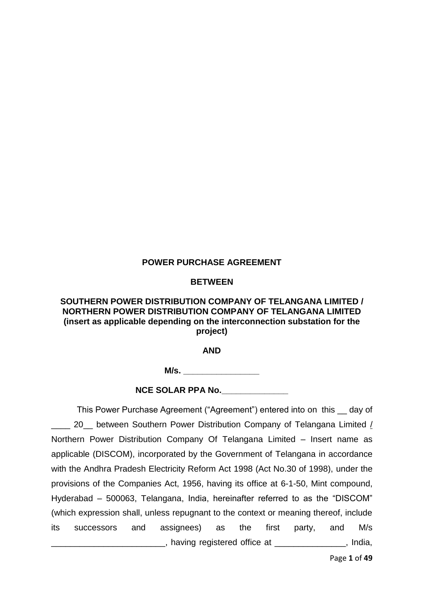### **POWER PURCHASE AGREEMENT**

#### **BETWEEN**

### **SOUTHERN POWER DISTRIBUTION COMPANY OF TELANGANA LIMITED / NORTHERN POWER DISTRIBUTION COMPANY OF TELANGANA LIMITED (insert as applicable depending on the interconnection substation for the project)**

**AND**

**M/s.**  $\blacksquare$ 

**NCE SOLAR PPA No.\_\_\_\_\_\_\_\_\_\_\_\_\_\_**

This Power Purchase Agreement ("Agreement") entered into on this \_\_ day of 20\_ between Southern Power Distribution Company of Telangana Limited / Northern Power Distribution Company Of Telangana Limited – Insert name as applicable (DISCOM), incorporated by the Government of Telangana in accordance with the Andhra Pradesh Electricity Reform Act 1998 (Act No.30 of 1998), under the provisions of the Companies Act, 1956, having its office at 6-1-50, Mint compound, Hyderabad – 500063, Telangana, India, hereinafter referred to as the "DISCOM" (which expression shall, unless repugnant to the context or meaning thereof, include its successors and assignees) as the first party, and M/s \_\_\_\_\_\_\_\_\_\_\_\_\_\_\_\_\_\_\_\_\_\_\_\_, having registered office at \_\_\_\_\_\_\_\_\_\_\_\_\_\_\_, India,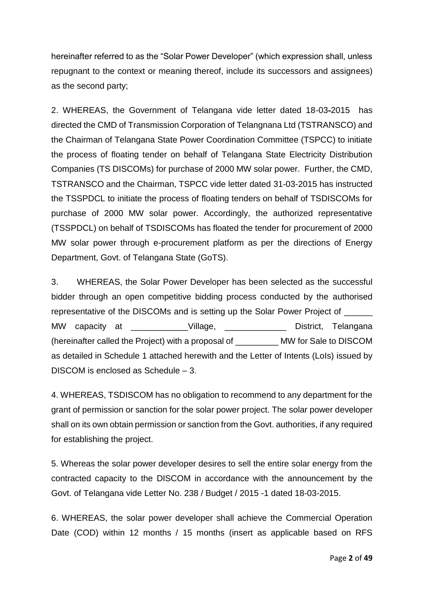hereinafter referred to as the "Solar Power Developer" (which expression shall, unless repugnant to the context or meaning thereof, include its successors and assignees) as the second party;

2. WHEREAS, the Government of Telangana vide letter dated 18-03-2015 has directed the CMD of Transmission Corporation of Telangnana Ltd (TSTRANSCO) and the Chairman of Telangana State Power Coordination Committee (TSPCC) to initiate the process of floating tender on behalf of Telangana State Electricity Distribution Companies (TS DISCOMs) for purchase of 2000 MW solar power. Further, the CMD, TSTRANSCO and the Chairman, TSPCC vide letter dated 31-03-2015 has instructed the TSSPDCL to initiate the process of floating tenders on behalf of TSDISCOMs for purchase of 2000 MW solar power. Accordingly, the authorized representative (TSSPDCL) on behalf of TSDISCOMs has floated the tender for procurement of 2000 MW solar power through e-procurement platform as per the directions of Energy Department, Govt. of Telangana State (GoTS).

3. WHEREAS, the Solar Power Developer has been selected as the successful bidder through an open competitive bidding process conducted by the authorised representative of the DISCOMs and is setting up the Solar Power Project of \_\_\_\_\_\_ MW capacity at \_\_\_\_\_\_\_\_\_\_\_\_\_Village, \_\_\_\_\_\_\_\_\_\_\_\_\_\_\_District, Telangana (hereinafter called the Project) with a proposal of \_\_\_\_\_\_\_\_\_ MW for Sale to DISCOM as detailed in Schedule 1 attached herewith and the Letter of Intents (LoIs) issued by DISCOM is enclosed as Schedule – 3.

4. WHEREAS, TSDISCOM has no obligation to recommend to any department for the grant of permission or sanction for the solar power project. The solar power developer shall on its own obtain permission or sanction from the Govt. authorities, if any required for establishing the project.

5. Whereas the solar power developer desires to sell the entire solar energy from the contracted capacity to the DISCOM in accordance with the announcement by the Govt. of Telangana vide Letter No. 238 / Budget / 2015 -1 dated 18-03-2015.

6. WHEREAS, the solar power developer shall achieve the Commercial Operation Date (COD) within 12 months / 15 months (insert as applicable based on RFS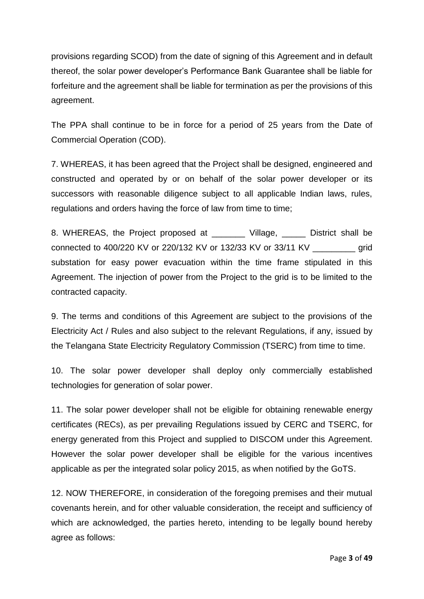provisions regarding SCOD) from the date of signing of this Agreement and in default thereof, the solar power developer's Performance Bank Guarantee shall be liable for forfeiture and the agreement shall be liable for termination as per the provisions of this agreement.

The PPA shall continue to be in force for a period of 25 years from the Date of Commercial Operation (COD).

7. WHEREAS, it has been agreed that the Project shall be designed, engineered and constructed and operated by or on behalf of the solar power developer or its successors with reasonable diligence subject to all applicable Indian laws, rules, regulations and orders having the force of law from time to time;

8. WHEREAS, the Project proposed at \_\_\_\_\_\_\_ Village, \_\_\_\_\_ District shall be connected to 400/220 KV or 220/132 KV or 132/33 KV or 33/11 KV \_\_\_\_\_\_\_\_\_ grid substation for easy power evacuation within the time frame stipulated in this Agreement. The injection of power from the Project to the grid is to be limited to the contracted capacity.

9. The terms and conditions of this Agreement are subject to the provisions of the Electricity Act / Rules and also subject to the relevant Regulations, if any, issued by the Telangana State Electricity Regulatory Commission (TSERC) from time to time.

10. The solar power developer shall deploy only commercially established technologies for generation of solar power.

11. The solar power developer shall not be eligible for obtaining renewable energy certificates (RECs), as per prevailing Regulations issued by CERC and TSERC, for energy generated from this Project and supplied to DISCOM under this Agreement. However the solar power developer shall be eligible for the various incentives applicable as per the integrated solar policy 2015, as when notified by the GoTS.

12. NOW THEREFORE, in consideration of the foregoing premises and their mutual covenants herein, and for other valuable consideration, the receipt and sufficiency of which are acknowledged, the parties hereto, intending to be legally bound hereby agree as follows: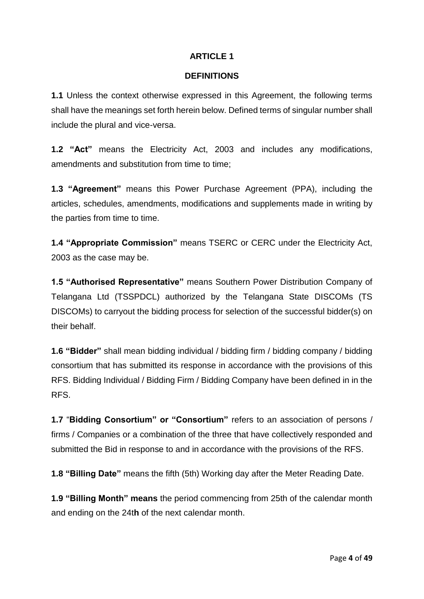### **DEFINITIONS**

**1.1** Unless the context otherwise expressed in this Agreement, the following terms shall have the meanings set forth herein below. Defined terms of singular number shall include the plural and vice-versa.

**1.2 "Act"** means the Electricity Act, 2003 and includes any modifications, amendments and substitution from time to time;

**1.3 "Agreement"** means this Power Purchase Agreement (PPA), including the articles, schedules, amendments, modifications and supplements made in writing by the parties from time to time.

**1.4 "Appropriate Commission"** means TSERC or CERC under the Electricity Act, 2003 as the case may be.

**1.5 "Authorised Representative"** means Southern Power Distribution Company of Telangana Ltd (TSSPDCL) authorized by the Telangana State DISCOMs (TS DISCOMs) to carryout the bidding process for selection of the successful bidder(s) on their behalf.

**1.6 "Bidder"** shall mean bidding individual / bidding firm / bidding company / bidding consortium that has submitted its response in accordance with the provisions of this RFS. Bidding Individual / Bidding Firm / Bidding Company have been defined in in the RFS.

**1.7** "**Bidding Consortium" or "Consortium"** refers to an association of persons / firms / Companies or a combination of the three that have collectively responded and submitted the Bid in response to and in accordance with the provisions of the RFS.

**1.8 "Billing Date"** means the fifth (5th) Working day after the Meter Reading Date.

**1.9 "Billing Month" means** the period commencing from 25th of the calendar month and ending on the 24t**h** of the next calendar month.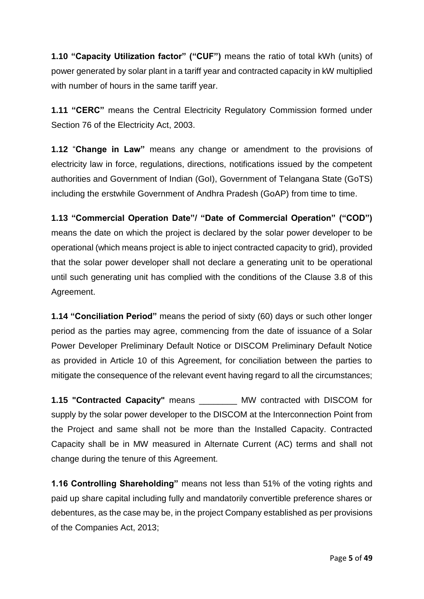**1.10 "Capacity Utilization factor" ("CUF")** means the ratio of total kWh (units) of power generated by solar plant in a tariff year and contracted capacity in kW multiplied with number of hours in the same tariff year.

**1.11 "CERC"** means the Central Electricity Regulatory Commission formed under Section 76 of the Electricity Act, 2003.

**1.12** "**Change in Law"** means any change or amendment to the provisions of electricity law in force, regulations, directions, notifications issued by the competent authorities and Government of Indian (GoI), Government of Telangana State (GoTS) including the erstwhile Government of Andhra Pradesh (GoAP) from time to time.

**1.13 "Commercial Operation Date"/ "Date of Commercial Operation" ("COD")**  means the date on which the project is declared by the solar power developer to be operational (which means project is able to inject contracted capacity to grid), provided that the solar power developer shall not declare a generating unit to be operational until such generating unit has complied with the conditions of the Clause 3.8 of this Agreement.

**1.14 "Conciliation Period"** means the period of sixty (60) days or such other longer period as the parties may agree, commencing from the date of issuance of a Solar Power Developer Preliminary Default Notice or DISCOM Preliminary Default Notice as provided in Article 10 of this Agreement, for conciliation between the parties to mitigate the consequence of the relevant event having regard to all the circumstances;

**1.15 "Contracted Capacity"** means \_\_\_\_\_\_\_\_ MW contracted with DISCOM for supply by the solar power developer to the DISCOM at the Interconnection Point from the Project and same shall not be more than the Installed Capacity. Contracted Capacity shall be in MW measured in Alternate Current (AC) terms and shall not change during the tenure of this Agreement.

**1.16 Controlling Shareholding"** means not less than 51% of the voting rights and paid up share capital including fully and mandatorily convertible preference shares or debentures, as the case may be, in the project Company established as per provisions of the Companies Act, 2013;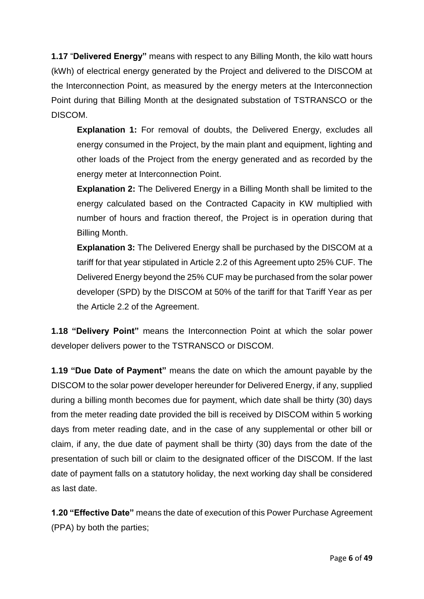**1.17** "**Delivered Energy"** means with respect to any Billing Month, the kilo watt hours (kWh) of electrical energy generated by the Project and delivered to the DISCOM at the Interconnection Point, as measured by the energy meters at the Interconnection Point during that Billing Month at the designated substation of TSTRANSCO or the DISCOM.

**Explanation 1:** For removal of doubts, the Delivered Energy, excludes all energy consumed in the Project, by the main plant and equipment, lighting and other loads of the Project from the energy generated and as recorded by the energy meter at Interconnection Point.

**Explanation 2:** The Delivered Energy in a Billing Month shall be limited to the energy calculated based on the Contracted Capacity in KW multiplied with number of hours and fraction thereof, the Project is in operation during that Billing Month.

**Explanation 3:** The Delivered Energy shall be purchased by the DISCOM at a tariff for that year stipulated in Article 2.2 of this Agreement upto 25% CUF. The Delivered Energy beyond the 25% CUF may be purchased from the solar power developer (SPD) by the DISCOM at 50% of the tariff for that Tariff Year as per the Article 2.2 of the Agreement.

**1.18 "Delivery Point"** means the Interconnection Point at which the solar power developer delivers power to the TSTRANSCO or DISCOM.

**1.19 "Due Date of Payment"** means the date on which the amount payable by the DISCOM to the solar power developer hereunder for Delivered Energy, if any, supplied during a billing month becomes due for payment, which date shall be thirty (30) days from the meter reading date provided the bill is received by DISCOM within 5 working days from meter reading date, and in the case of any supplemental or other bill or claim, if any, the due date of payment shall be thirty (30) days from the date of the presentation of such bill or claim to the designated officer of the DISCOM. If the last date of payment falls on a statutory holiday, the next working day shall be considered as last date.

**1.20 "Effective Date"** means the date of execution of this Power Purchase Agreement (PPA) by both the parties;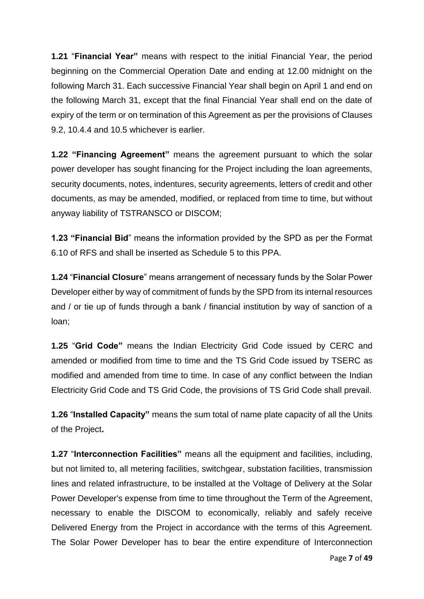**1.21** "**Financial Year"** means with respect to the initial Financial Year, the period beginning on the Commercial Operation Date and ending at 12.00 midnight on the following March 31. Each successive Financial Year shall begin on April 1 and end on the following March 31, except that the final Financial Year shall end on the date of expiry of the term or on termination of this Agreement as per the provisions of Clauses 9.2, 10.4.4 and 10.5 whichever is earlier.

**1.22 "Financing Agreement"** means the agreement pursuant to which the solar power developer has sought financing for the Project including the loan agreements, security documents, notes, indentures, security agreements, letters of credit and other documents, as may be amended, modified, or replaced from time to time, but without anyway liability of TSTRANSCO or DISCOM;

**1.23 "Financial Bid**" means the information provided by the SPD as per the Format 6.10 of RFS and shall be inserted as Schedule 5 to this PPA.

**1.24** "**Financial Closure**" means arrangement of necessary funds by the Solar Power Developer either by way of commitment of funds by the SPD from its internal resources and / or tie up of funds through a bank / financial institution by way of sanction of a loan;

**1.25** "**Grid Code"** means the Indian Electricity Grid Code issued by CERC and amended or modified from time to time and the TS Grid Code issued by TSERC as modified and amended from time to time. In case of any conflict between the Indian Electricity Grid Code and TS Grid Code, the provisions of TS Grid Code shall prevail.

**1.26** "**Installed Capacity"** means the sum total of name plate capacity of all the Units of the Project**.** 

**1.27** "**Interconnection Facilities"** means all the equipment and facilities, including, but not limited to, all metering facilities, switchgear, substation facilities, transmission lines and related infrastructure, to be installed at the Voltage of Delivery at the Solar Power Developer's expense from time to time throughout the Term of the Agreement, necessary to enable the DISCOM to economically, reliably and safely receive Delivered Energy from the Project in accordance with the terms of this Agreement. The Solar Power Developer has to bear the entire expenditure of Interconnection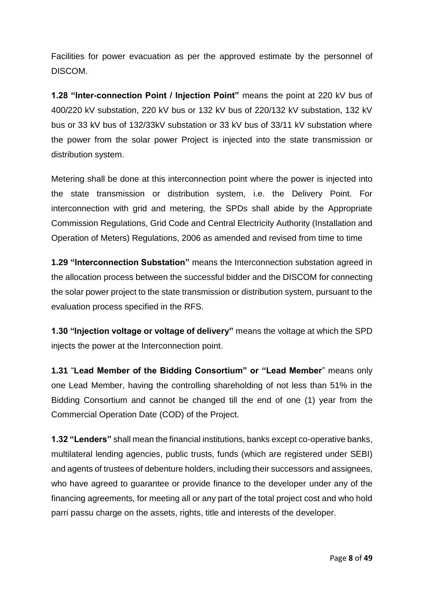Facilities for power evacuation as per the approved estimate by the personnel of DISCOM.

**1.28 "Inter-connection Point / Injection Point"** means the point at 220 kV bus of 400/220 kV substation, 220 kV bus or 132 kV bus of 220/132 kV substation, 132 kV bus or 33 kV bus of 132/33kV substation or 33 kV bus of 33/11 kV substation where the power from the solar power Project is injected into the state transmission or distribution system.

Metering shall be done at this interconnection point where the power is injected into the state transmission or distribution system, i.e. the Delivery Point. For interconnection with grid and metering, the SPDs shall abide by the Appropriate Commission Regulations, Grid Code and Central Electricity Authority (Installation and Operation of Meters) Regulations, 2006 as amended and revised from time to time

**1.29 "Interconnection Substation"** means the Interconnection substation agreed in the allocation process between the successful bidder and the DISCOM for connecting the solar power project to the state transmission or distribution system, pursuant to the evaluation process specified in the RFS.

**1.30 "Injection voltage or voltage of delivery"** means the voltage at which the SPD injects the power at the Interconnection point.

**1.31** "**Lead Member of the Bidding Consortium" or "Lead Member**" means only one Lead Member, having the controlling shareholding of not less than 51% in the Bidding Consortium and cannot be changed till the end of one (1) year from the Commercial Operation Date (COD) of the Project.

**1.32 "Lenders"** shall mean the financial institutions, banks except co-operative banks, multilateral lending agencies, public trusts, funds (which are registered under SEBI) and agents of trustees of debenture holders, including their successors and assignees, who have agreed to guarantee or provide finance to the developer under any of the financing agreements, for meeting all or any part of the total project cost and who hold parri passu charge on the assets, rights, title and interests of the developer.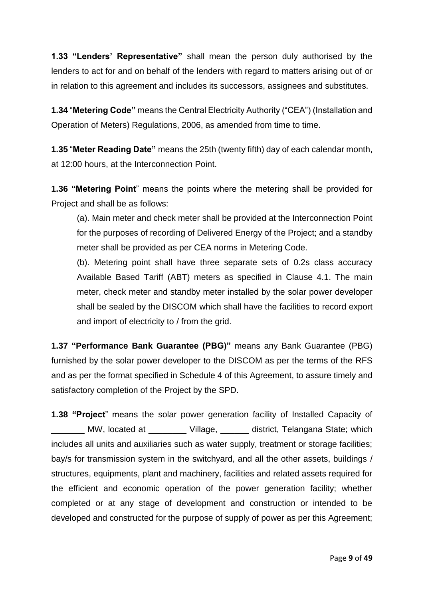**1.33 "Lenders' Representative"** shall mean the person duly authorised by the lenders to act for and on behalf of the lenders with regard to matters arising out of or in relation to this agreement and includes its successors, assignees and substitutes.

**1.34** "**Metering Code"** means the Central Electricity Authority ("CEA") (Installation and Operation of Meters) Regulations, 2006, as amended from time to time.

**1.35** "**Meter Reading Date"** means the 25th (twenty fifth) day of each calendar month, at 12:00 hours, at the Interconnection Point.

**1.36 "Metering Point**" means the points where the metering shall be provided for Project and shall be as follows:

(a). Main meter and check meter shall be provided at the Interconnection Point for the purposes of recording of Delivered Energy of the Project; and a standby meter shall be provided as per CEA norms in Metering Code.

(b). Metering point shall have three separate sets of 0.2s class accuracy Available Based Tariff (ABT) meters as specified in Clause 4.1. The main meter, check meter and standby meter installed by the solar power developer shall be sealed by the DISCOM which shall have the facilities to record export and import of electricity to / from the grid.

**1.37 "Performance Bank Guarantee (PBG)"** means any Bank Guarantee (PBG) furnished by the solar power developer to the DISCOM as per the terms of the RFS and as per the format specified in Schedule 4 of this Agreement, to assure timely and satisfactory completion of the Project by the SPD.

**1.38 "Project**" means the solar power generation facility of Installed Capacity of \_\_\_\_\_\_\_ MW, located at \_\_\_\_\_\_\_\_ Village, \_\_\_\_\_\_ district, Telangana State; which includes all units and auxiliaries such as water supply, treatment or storage facilities; bay/s for transmission system in the switchyard, and all the other assets, buildings / structures, equipments, plant and machinery, facilities and related assets required for the efficient and economic operation of the power generation facility; whether completed or at any stage of development and construction or intended to be developed and constructed for the purpose of supply of power as per this Agreement;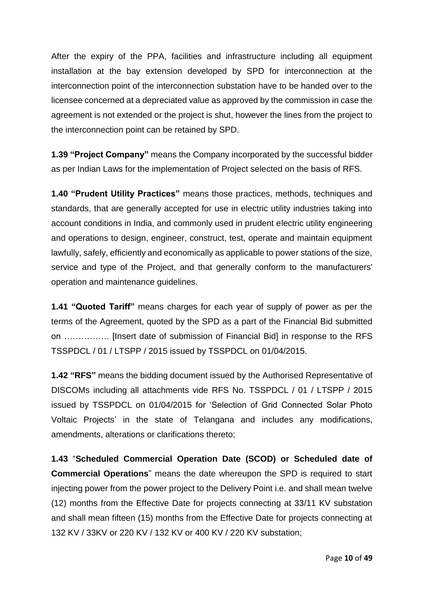After the expiry of the PPA, facilities and infrastructure including all equipment installation at the bay extension developed by SPD for interconnection at the interconnection point of the interconnection substation have to be handed over to the licensee concerned at a depreciated value as approved by the commission in case the agreement is not extended or the project is shut, however the lines from the project to the interconnection point can be retained by SPD.

**1.39 "Project Company"** means the Company incorporated by the successful bidder as per Indian Laws for the implementation of Project selected on the basis of RFS.

**1.40 "Prudent Utility Practices"** means those practices, methods, techniques and standards, that are generally accepted for use in electric utility industries taking into account conditions in India, and commonly used in prudent electric utility engineering and operations to design, engineer, construct, test, operate and maintain equipment lawfully, safely, efficiently and economically as applicable to power stations of the size, service and type of the Project, and that generally conform to the manufacturers' operation and maintenance guidelines.

**1.41 "Quoted Tariff"** means charges for each year of supply of power as per the terms of the Agreement, quoted by the SPD as a part of the Financial Bid submitted on ……………. [Insert date of submission of Financial Bid] in response to the RFS TSSPDCL / 01 / LTSPP / 2015 issued by TSSPDCL on 01/04/2015.

**1.42 "RFS"** means the bidding document issued by the Authorised Representative of DISCOMs including all attachments vide RFS No. TSSPDCL / 01 / LTSPP / 2015 issued by TSSPDCL on 01/04/2015 for 'Selection of Grid Connected Solar Photo Voltaic Projects' in the state of Telangana and includes any modifications, amendments, alterations or clarifications thereto;

**1.43** "**Scheduled Commercial Operation Date (SCOD) or Scheduled date of Commercial Operations**" means the date whereupon the SPD is required to start injecting power from the power project to the Delivery Point i.e. and shall mean twelve (12) months from the Effective Date for projects connecting at 33/11 KV substation and shall mean fifteen (15) months from the Effective Date for projects connecting at 132 KV / 33KV or 220 KV / 132 KV or 400 KV / 220 KV substation;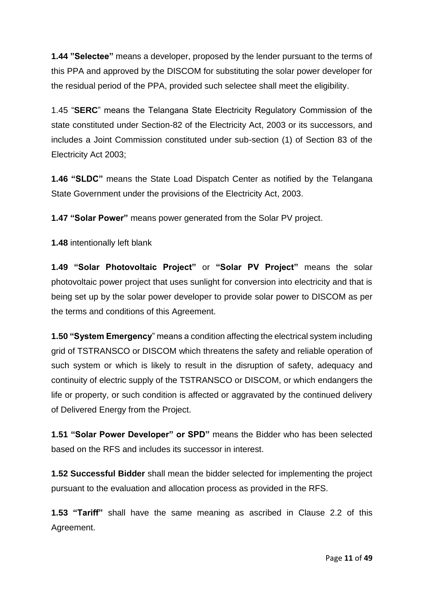**1.44 "Selectee"** means a developer, proposed by the lender pursuant to the terms of this PPA and approved by the DISCOM for substituting the solar power developer for the residual period of the PPA, provided such selectee shall meet the eligibility.

1.45 "**SERC**" means the Telangana State Electricity Regulatory Commission of the state constituted under Section-82 of the Electricity Act, 2003 or its successors, and includes a Joint Commission constituted under sub-section (1) of Section 83 of the Electricity Act 2003;

**1.46 "SLDC"** means the State Load Dispatch Center as notified by the Telangana State Government under the provisions of the Electricity Act, 2003.

**1.47 "Solar Power"** means power generated from the Solar PV project.

**1.48** intentionally left blank

**1.49 "Solar Photovoltaic Project"** or **"Solar PV Project"** means the solar photovoltaic power project that uses sunlight for conversion into electricity and that is being set up by the solar power developer to provide solar power to DISCOM as per the terms and conditions of this Agreement.

**1.50 "System Emergency**" means a condition affecting the electrical system including grid of TSTRANSCO or DISCOM which threatens the safety and reliable operation of such system or which is likely to result in the disruption of safety, adequacy and continuity of electric supply of the TSTRANSCO or DISCOM, or which endangers the life or property, or such condition is affected or aggravated by the continued delivery of Delivered Energy from the Project.

**1.51 "Solar Power Developer" or SPD"** means the Bidder who has been selected based on the RFS and includes its successor in interest.

**1.52 Successful Bidder** shall mean the bidder selected for implementing the project pursuant to the evaluation and allocation process as provided in the RFS.

**1.53 "Tariff"** shall have the same meaning as ascribed in Clause 2.2 of this Agreement.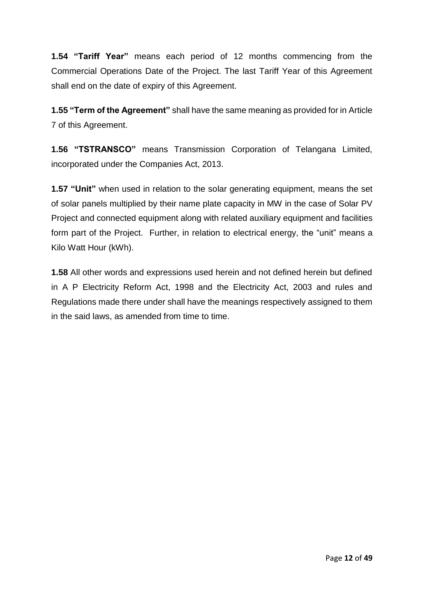**1.54 "Tariff Year"** means each period of 12 months commencing from the Commercial Operations Date of the Project. The last Tariff Year of this Agreement shall end on the date of expiry of this Agreement.

**1.55 "Term of the Agreement"** shall have the same meaning as provided for in Article 7 of this Agreement.

**1.56 "TSTRANSCO"** means Transmission Corporation of Telangana Limited, incorporated under the Companies Act, 2013.

**1.57 "Unit"** when used in relation to the solar generating equipment, means the set of solar panels multiplied by their name plate capacity in MW in the case of Solar PV Project and connected equipment along with related auxiliary equipment and facilities form part of the Project. Further, in relation to electrical energy, the "unit" means a Kilo Watt Hour (kWh).

**1.58** All other words and expressions used herein and not defined herein but defined in A P Electricity Reform Act, 1998 and the Electricity Act, 2003 and rules and Regulations made there under shall have the meanings respectively assigned to them in the said laws, as amended from time to time.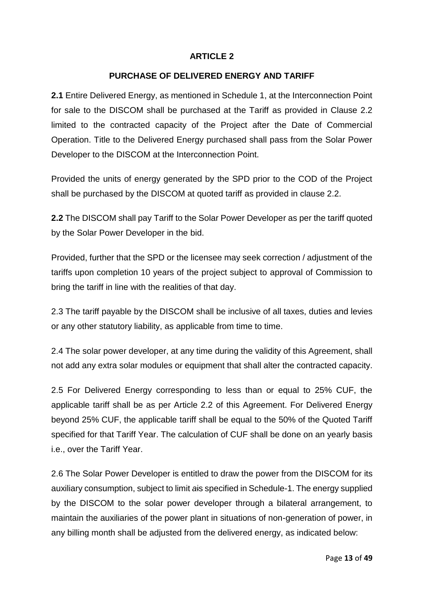### **PURCHASE OF DELIVERED ENERGY AND TARIFF**

**2.1** Entire Delivered Energy, as mentioned in Schedule 1, at the Interconnection Point for sale to the DISCOM shall be purchased at the Tariff as provided in Clause 2.2 limited to the contracted capacity of the Project after the Date of Commercial Operation. Title to the Delivered Energy purchased shall pass from the Solar Power Developer to the DISCOM at the Interconnection Point.

Provided the units of energy generated by the SPD prior to the COD of the Project shall be purchased by the DISCOM at quoted tariff as provided in clause 2.2.

**2.2** The DISCOM shall pay Tariff to the Solar Power Developer as per the tariff quoted by the Solar Power Developer in the bid.

Provided, further that the SPD or the licensee may seek correction / adjustment of the tariffs upon completion 10 years of the project subject to approval of Commission to bring the tariff in line with the realities of that day.

2.3 The tariff payable by the DISCOM shall be inclusive of all taxes, duties and levies or any other statutory liability, as applicable from time to time.

2.4 The solar power developer, at any time during the validity of this Agreement, shall not add any extra solar modules or equipment that shall alter the contracted capacity.

2.5 For Delivered Energy corresponding to less than or equal to 25% CUF, the applicable tariff shall be as per Article 2.2 of this Agreement. For Delivered Energy beyond 25% CUF, the applicable tariff shall be equal to the 50% of the Quoted Tariff specified for that Tariff Year. The calculation of CUF shall be done on an yearly basis i.e., over the Tariff Year.

2.6 The Solar Power Developer is entitled to draw the power from the DISCOM for its auxiliary consumption, subject to limit *a*is specified in Schedule-1. The energy supplied by the DISCOM to the solar power developer through a bilateral arrangement, to maintain the auxiliaries of the power plant in situations of non-generation of power, in any billing month shall be adjusted from the delivered energy, as indicated below: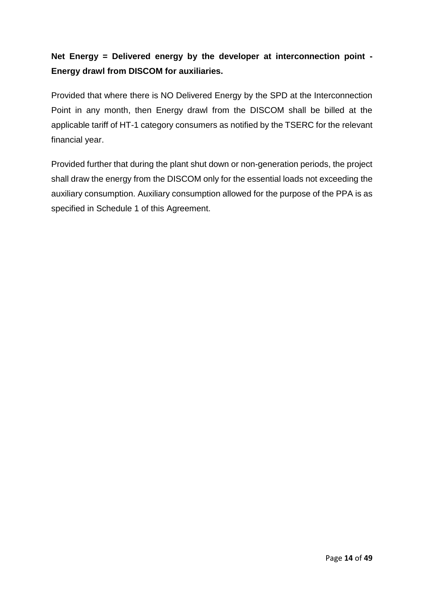# **Net Energy = Delivered energy by the developer at interconnection point - Energy drawl from DISCOM for auxiliaries.**

Provided that where there is NO Delivered Energy by the SPD at the Interconnection Point in any month, then Energy drawl from the DISCOM shall be billed at the applicable tariff of HT-1 category consumers as notified by the TSERC for the relevant financial year.

Provided further that during the plant shut down or non-generation periods, the project shall draw the energy from the DISCOM only for the essential loads not exceeding the auxiliary consumption. Auxiliary consumption allowed for the purpose of the PPA is as specified in Schedule 1 of this Agreement.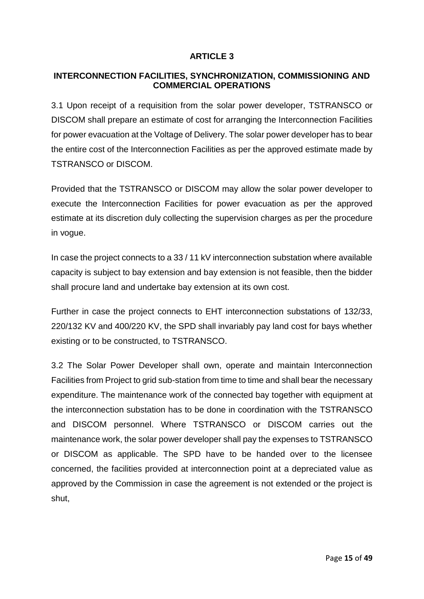### **INTERCONNECTION FACILITIES, SYNCHRONIZATION, COMMISSIONING AND COMMERCIAL OPERATIONS**

3.1 Upon receipt of a requisition from the solar power developer, TSTRANSCO or DISCOM shall prepare an estimate of cost for arranging the Interconnection Facilities for power evacuation at the Voltage of Delivery. The solar power developer has to bear the entire cost of the Interconnection Facilities as per the approved estimate made by TSTRANSCO or DISCOM.

Provided that the TSTRANSCO or DISCOM may allow the solar power developer to execute the Interconnection Facilities for power evacuation as per the approved estimate at its discretion duly collecting the supervision charges as per the procedure in vogue.

In case the project connects to a 33 / 11 kV interconnection substation where available capacity is subject to bay extension and bay extension is not feasible, then the bidder shall procure land and undertake bay extension at its own cost.

Further in case the project connects to EHT interconnection substations of 132/33, 220/132 KV and 400/220 KV, the SPD shall invariably pay land cost for bays whether existing or to be constructed, to TSTRANSCO.

3.2 The Solar Power Developer shall own, operate and maintain Interconnection Facilities from Project to grid sub-station from time to time and shall bear the necessary expenditure. The maintenance work of the connected bay together with equipment at the interconnection substation has to be done in coordination with the TSTRANSCO and DISCOM personnel. Where TSTRANSCO or DISCOM carries out the maintenance work, the solar power developer shall pay the expenses to TSTRANSCO or DISCOM as applicable. The SPD have to be handed over to the licensee concerned, the facilities provided at interconnection point at a depreciated value as approved by the Commission in case the agreement is not extended or the project is shut,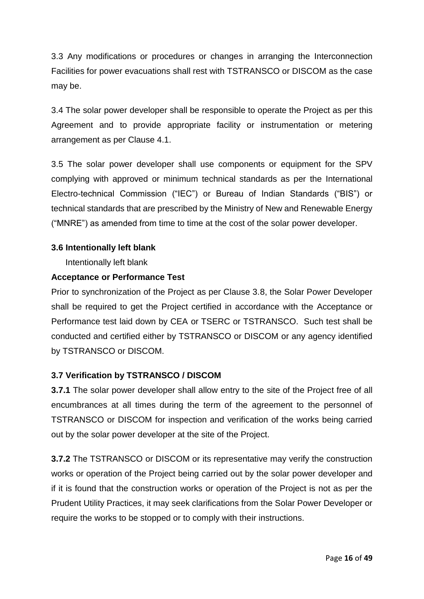3.3 Any modifications or procedures or changes in arranging the Interconnection Facilities for power evacuations shall rest with TSTRANSCO or DISCOM as the case may be.

3.4 The solar power developer shall be responsible to operate the Project as per this Agreement and to provide appropriate facility or instrumentation or metering arrangement as per Clause 4.1.

3.5 The solar power developer shall use components or equipment for the SPV complying with approved or minimum technical standards as per the International Electro-technical Commission ("IEC") or Bureau of Indian Standards ("BIS") or technical standards that are prescribed by the Ministry of New and Renewable Energy ("MNRE") as amended from time to time at the cost of the solar power developer.

### **3.6 Intentionally left blank**

Intentionally left blank

### **Acceptance or Performance Test**

Prior to synchronization of the Project as per Clause 3.8, the Solar Power Developer shall be required to get the Project certified in accordance with the Acceptance or Performance test laid down by CEA or TSERC or TSTRANSCO. Such test shall be conducted and certified either by TSTRANSCO or DISCOM or any agency identified by TSTRANSCO or DISCOM.

### **3.7 Verification by TSTRANSCO / DISCOM**

**3.7.1** The solar power developer shall allow entry to the site of the Project free of all encumbrances at all times during the term of the agreement to the personnel of TSTRANSCO or DISCOM for inspection and verification of the works being carried out by the solar power developer at the site of the Project.

**3.7.2** The TSTRANSCO or DISCOM or its representative may verify the construction works or operation of the Project being carried out by the solar power developer and if it is found that the construction works or operation of the Project is not as per the Prudent Utility Practices, it may seek clarifications from the Solar Power Developer or require the works to be stopped or to comply with their instructions.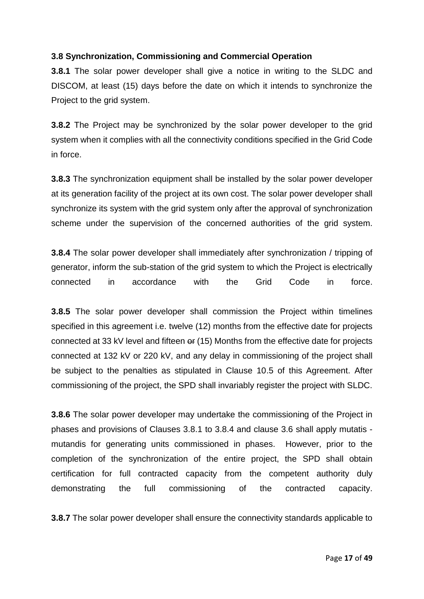# **3.8 Synchronization, Commissioning and Commercial Operation**

**3.8.1** The solar power developer shall give a notice in writing to the SLDC and DISCOM, at least (15) days before the date on which it intends to synchronize the Project to the grid system.

**3.8.2** The Project may be synchronized by the solar power developer to the grid system when it complies with all the connectivity conditions specified in the Grid Code in force.

**3.8.3** The synchronization equipment shall be installed by the solar power developer at its generation facility of the project at its own cost. The solar power developer shall synchronize its system with the grid system only after the approval of synchronization scheme under the supervision of the concerned authorities of the grid system.

**3.8.4** The solar power developer shall immediately after synchronization / tripping of generator, inform the sub-station of the grid system to which the Project is electrically connected in accordance with the Grid Code in force.

**3.8.5** The solar power developer shall commission the Project within timelines specified in this agreement i.e. twelve (12) months from the effective date for projects connected at 33 kV level and fifteen  $er(15)$  Months from the effective date for projects connected at 132 kV or 220 kV, and any delay in commissioning of the project shall be subject to the penalties as stipulated in Clause 10.5 of this Agreement. After commissioning of the project, the SPD shall invariably register the project with SLDC.

**3.8.6** The solar power developer may undertake the commissioning of the Project in phases and provisions of Clauses 3.8.1 to 3.8.4 and clause 3.6 shall apply mutatis mutandis for generating units commissioned in phases. However, prior to the completion of the synchronization of the entire project, the SPD shall obtain certification for full contracted capacity from the competent authority duly demonstrating the full commissioning of the contracted capacity.

**3.8.7** The solar power developer shall ensure the connectivity standards applicable to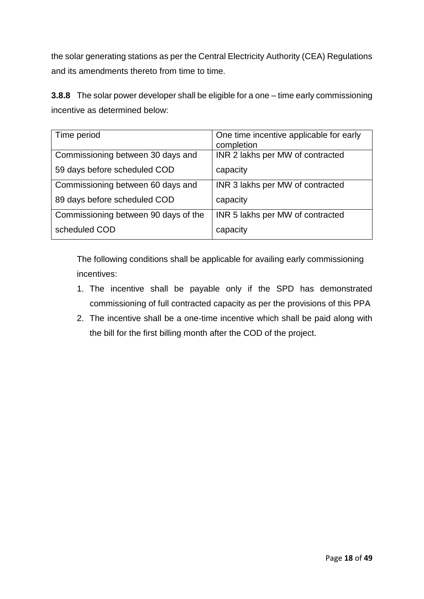the solar generating stations as per the Central Electricity Authority (CEA) Regulations and its amendments thereto from time to time.

**3.8.8** The solar power developer shall be eligible for a one – time early commissioning incentive as determined below:

| Time period                          | One time incentive applicable for early |  |  |
|--------------------------------------|-----------------------------------------|--|--|
|                                      | completion                              |  |  |
| Commissioning between 30 days and    | INR 2 lakhs per MW of contracted        |  |  |
| 59 days before scheduled COD         | capacity                                |  |  |
| Commissioning between 60 days and    | INR 3 lakhs per MW of contracted        |  |  |
| 89 days before scheduled COD         | capacity                                |  |  |
| Commissioning between 90 days of the | INR 5 lakhs per MW of contracted        |  |  |
| scheduled COD                        | capacity                                |  |  |

The following conditions shall be applicable for availing early commissioning incentives:

- 1. The incentive shall be payable only if the SPD has demonstrated commissioning of full contracted capacity as per the provisions of this PPA
- 2. The incentive shall be a one-time incentive which shall be paid along with the bill for the first billing month after the COD of the project.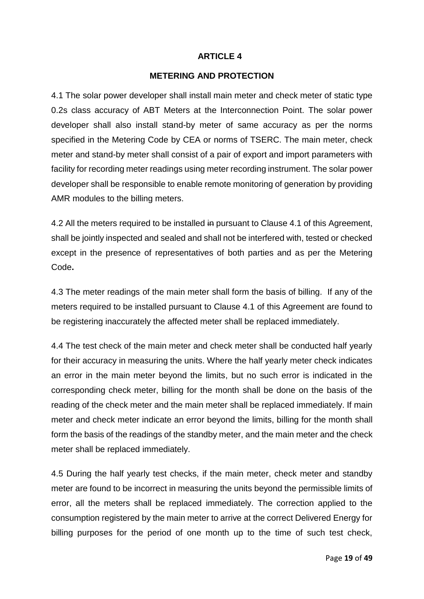#### **METERING AND PROTECTION**

4.1 The solar power developer shall install main meter and check meter of static type 0.2s class accuracy of ABT Meters at the Interconnection Point. The solar power developer shall also install stand-by meter of same accuracy as per the norms specified in the Metering Code by CEA or norms of TSERC. The main meter, check meter and stand-by meter shall consist of a pair of export and import parameters with facility for recording meter readings using meter recording instrument. The solar power developer shall be responsible to enable remote monitoring of generation by providing AMR modules to the billing meters.

4.2 All the meters required to be installed in pursuant to Clause 4.1 of this Agreement, shall be jointly inspected and sealed and shall not be interfered with, tested or checked except in the presence of representatives of both parties and as per the Metering Code**.** 

4.3 The meter readings of the main meter shall form the basis of billing. If any of the meters required to be installed pursuant to Clause 4.1 of this Agreement are found to be registering inaccurately the affected meter shall be replaced immediately.

4.4 The test check of the main meter and check meter shall be conducted half yearly for their accuracy in measuring the units. Where the half yearly meter check indicates an error in the main meter beyond the limits, but no such error is indicated in the corresponding check meter, billing for the month shall be done on the basis of the reading of the check meter and the main meter shall be replaced immediately. If main meter and check meter indicate an error beyond the limits, billing for the month shall form the basis of the readings of the standby meter, and the main meter and the check meter shall be replaced immediately.

4.5 During the half yearly test checks, if the main meter, check meter and standby meter are found to be incorrect in measuring the units beyond the permissible limits of error, all the meters shall be replaced immediately. The correction applied to the consumption registered by the main meter to arrive at the correct Delivered Energy for billing purposes for the period of one month up to the time of such test check,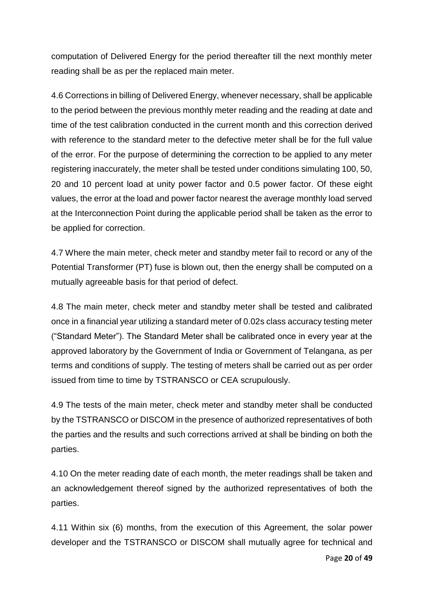computation of Delivered Energy for the period thereafter till the next monthly meter reading shall be as per the replaced main meter.

4.6 Corrections in billing of Delivered Energy, whenever necessary, shall be applicable to the period between the previous monthly meter reading and the reading at date and time of the test calibration conducted in the current month and this correction derived with reference to the standard meter to the defective meter shall be for the full value of the error. For the purpose of determining the correction to be applied to any meter registering inaccurately, the meter shall be tested under conditions simulating 100, 50, 20 and 10 percent load at unity power factor and 0.5 power factor. Of these eight values, the error at the load and power factor nearest the average monthly load served at the Interconnection Point during the applicable period shall be taken as the error to be applied for correction.

4.7 Where the main meter, check meter and standby meter fail to record or any of the Potential Transformer (PT) fuse is blown out, then the energy shall be computed on a mutually agreeable basis for that period of defect.

4.8 The main meter, check meter and standby meter shall be tested and calibrated once in a financial year utilizing a standard meter of 0.02s class accuracy testing meter ("Standard Meter"). The Standard Meter shall be calibrated once in every year at the approved laboratory by the Government of India or Government of Telangana, as per terms and conditions of supply. The testing of meters shall be carried out as per order issued from time to time by TSTRANSCO or CEA scrupulously.

4.9 The tests of the main meter, check meter and standby meter shall be conducted by the TSTRANSCO or DISCOM in the presence of authorized representatives of both the parties and the results and such corrections arrived at shall be binding on both the parties.

4.10 On the meter reading date of each month, the meter readings shall be taken and an acknowledgement thereof signed by the authorized representatives of both the parties.

4.11 Within six (6) months, from the execution of this Agreement, the solar power developer and the TSTRANSCO or DISCOM shall mutually agree for technical and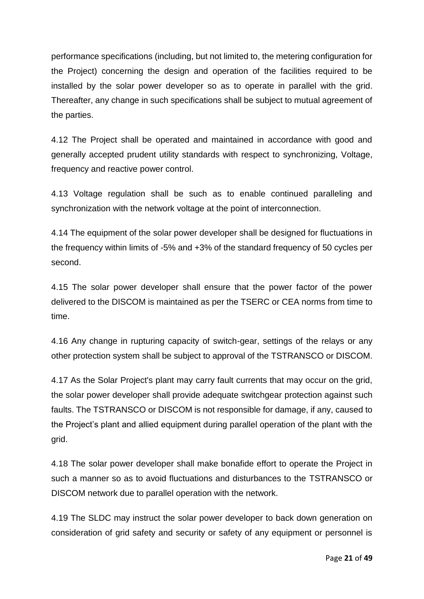performance specifications (including, but not limited to, the metering configuration for the Project) concerning the design and operation of the facilities required to be installed by the solar power developer so as to operate in parallel with the grid. Thereafter, any change in such specifications shall be subject to mutual agreement of the parties.

4.12 The Project shall be operated and maintained in accordance with good and generally accepted prudent utility standards with respect to synchronizing, Voltage, frequency and reactive power control.

4.13 Voltage regulation shall be such as to enable continued paralleling and synchronization with the network voltage at the point of interconnection.

4.14 The equipment of the solar power developer shall be designed for fluctuations in the frequency within limits of -5% and +3% of the standard frequency of 50 cycles per second.

4.15 The solar power developer shall ensure that the power factor of the power delivered to the DISCOM is maintained as per the TSERC or CEA norms from time to time.

4.16 Any change in rupturing capacity of switch-gear, settings of the relays or any other protection system shall be subject to approval of the TSTRANSCO or DISCOM.

4.17 As the Solar Project's plant may carry fault currents that may occur on the grid, the solar power developer shall provide adequate switchgear protection against such faults. The TSTRANSCO or DISCOM is not responsible for damage, if any, caused to the Project's plant and allied equipment during parallel operation of the plant with the grid.

4.18 The solar power developer shall make bonafide effort to operate the Project in such a manner so as to avoid fluctuations and disturbances to the TSTRANSCO or DISCOM network due to parallel operation with the network.

4.19 The SLDC may instruct the solar power developer to back down generation on consideration of grid safety and security or safety of any equipment or personnel is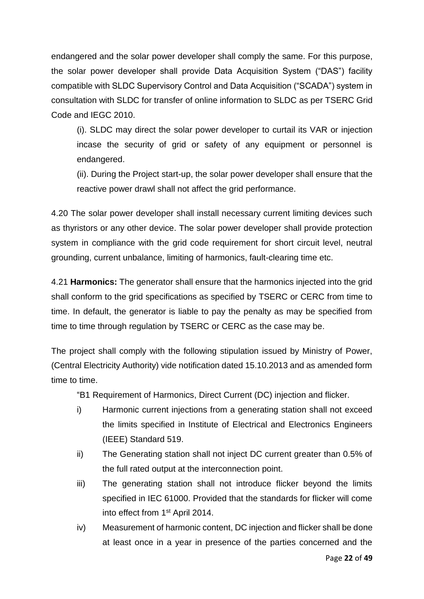endangered and the solar power developer shall comply the same. For this purpose, the solar power developer shall provide Data Acquisition System ("DAS") facility compatible with SLDC Supervisory Control and Data Acquisition ("SCADA") system in consultation with SLDC for transfer of online information to SLDC as per TSERC Grid Code and IEGC 2010.

(i). SLDC may direct the solar power developer to curtail its VAR or injection incase the security of grid or safety of any equipment or personnel is endangered.

(ii). During the Project start-up, the solar power developer shall ensure that the reactive power drawl shall not affect the grid performance.

4.20 The solar power developer shall install necessary current limiting devices such as thyristors or any other device. The solar power developer shall provide protection system in compliance with the grid code requirement for short circuit level, neutral grounding, current unbalance, limiting of harmonics, fault-clearing time etc.

4.21 **Harmonics:** The generator shall ensure that the harmonics injected into the grid shall conform to the grid specifications as specified by TSERC or CERC from time to time. In default, the generator is liable to pay the penalty as may be specified from time to time through regulation by TSERC or CERC as the case may be.

The project shall comply with the following stipulation issued by Ministry of Power, (Central Electricity Authority) vide notification dated 15.10.2013 and as amended form time to time.

"B1 Requirement of Harmonics, Direct Current (DC) injection and flicker.

- i) Harmonic current injections from a generating station shall not exceed the limits specified in Institute of Electrical and Electronics Engineers (IEEE) Standard 519.
- ii) The Generating station shall not inject DC current greater than 0.5% of the full rated output at the interconnection point.
- iii) The generating station shall not introduce flicker beyond the limits specified in IEC 61000. Provided that the standards for flicker will come into effect from 1st April 2014.
- iv) Measurement of harmonic content, DC injection and flicker shall be done at least once in a year in presence of the parties concerned and the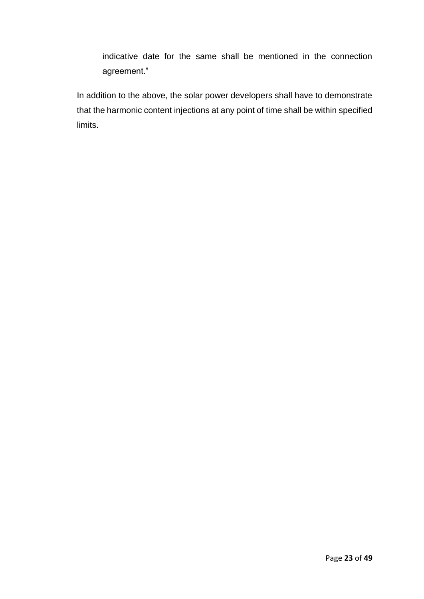indicative date for the same shall be mentioned in the connection agreement."

In addition to the above, the solar power developers shall have to demonstrate that the harmonic content injections at any point of time shall be within specified limits.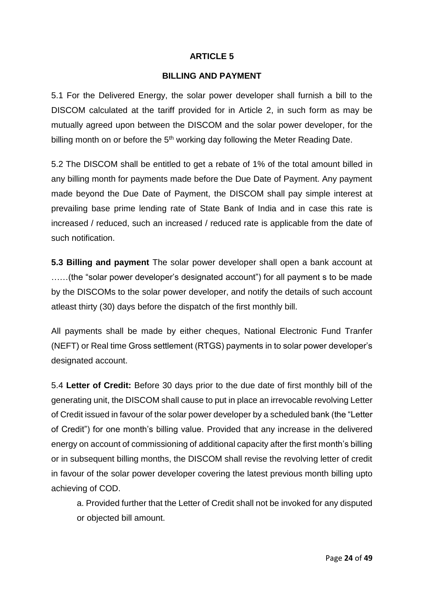#### **BILLING AND PAYMENT**

5.1 For the Delivered Energy, the solar power developer shall furnish a bill to the DISCOM calculated at the tariff provided for in Article 2, in such form as may be mutually agreed upon between the DISCOM and the solar power developer, for the billing month on or before the  $5<sup>th</sup>$  working day following the Meter Reading Date.

5.2 The DISCOM shall be entitled to get a rebate of 1% of the total amount billed in any billing month for payments made before the Due Date of Payment. Any payment made beyond the Due Date of Payment, the DISCOM shall pay simple interest at prevailing base prime lending rate of State Bank of India and in case this rate is increased / reduced, such an increased / reduced rate is applicable from the date of such notification.

**5.3 Billing and payment** The solar power developer shall open a bank account at ……(the "solar power developer's designated account") for all payment s to be made by the DISCOMs to the solar power developer, and notify the details of such account atleast thirty (30) days before the dispatch of the first monthly bill.

All payments shall be made by either cheques, National Electronic Fund Tranfer (NEFT) or Real time Gross settlement (RTGS) payments in to solar power developer's designated account.

5.4 **Letter of Credit:** Before 30 days prior to the due date of first monthly bill of the generating unit, the DISCOM shall cause to put in place an irrevocable revolving Letter of Credit issued in favour of the solar power developer by a scheduled bank (the "Letter of Credit") for one month's billing value. Provided that any increase in the delivered energy on account of commissioning of additional capacity after the first month's billing or in subsequent billing months, the DISCOM shall revise the revolving letter of credit in favour of the solar power developer covering the latest previous month billing upto achieving of COD.

a. Provided further that the Letter of Credit shall not be invoked for any disputed or objected bill amount.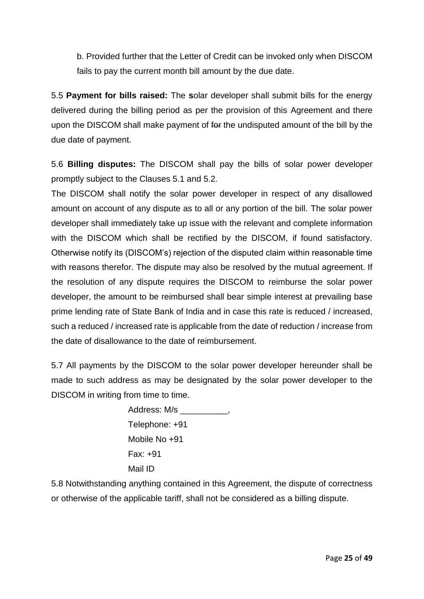b. Provided further that the Letter of Credit can be invoked only when DISCOM fails to pay the current month bill amount by the due date.

5.5 **Payment for bills raised:** The **s**olar developer shall submit bills for the energy delivered during the billing period as per the provision of this Agreement and there upon the DISCOM shall make payment of for the undisputed amount of the bill by the due date of payment.

5.6 **Billing disputes:** The DISCOM shall pay the bills of solar power developer promptly subject to the Clauses 5.1 and 5.2.

The DISCOM shall notify the solar power developer in respect of any disallowed amount on account of any dispute as to all or any portion of the bill. The solar power developer shall immediately take up issue with the relevant and complete information with the DISCOM which shall be rectified by the DISCOM, if found satisfactory. Otherwise notify its (DISCOM's) rejection of the disputed claim within reasonable time with reasons therefor. The dispute may also be resolved by the mutual agreement. If the resolution of any dispute requires the DISCOM to reimburse the solar power developer, the amount to be reimbursed shall bear simple interest at prevailing base prime lending rate of State Bank of India and in case this rate is reduced / increased, such a reduced / increased rate is applicable from the date of reduction / increase from the date of disallowance to the date of reimbursement.

5.7 All payments by the DISCOM to the solar power developer hereunder shall be made to such address as may be designated by the solar power developer to the DISCOM in writing from time to time.

> Address: M/s \_\_\_\_\_\_\_\_\_\_, Telephone: +91 Mobile No +91 Fax: +91 Mail ID

5.8 Notwithstanding anything contained in this Agreement, the dispute of correctness or otherwise of the applicable tariff, shall not be considered as a billing dispute.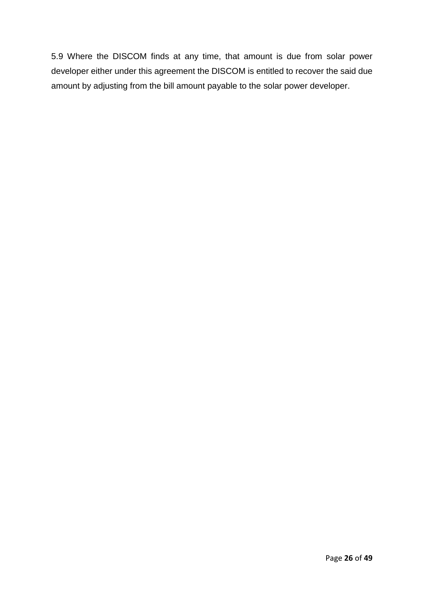5.9 Where the DISCOM finds at any time, that amount is due from solar power developer either under this agreement the DISCOM is entitled to recover the said due amount by adjusting from the bill amount payable to the solar power developer.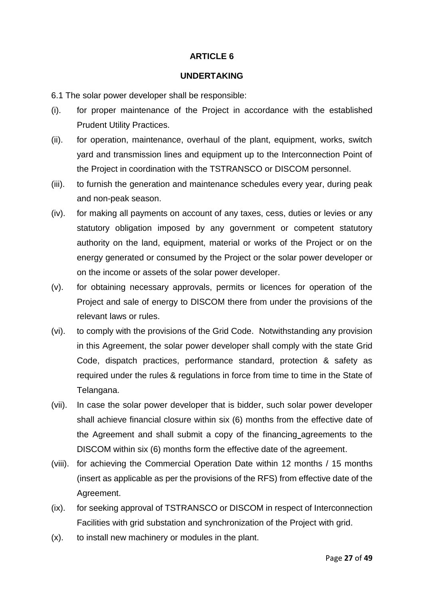#### **UNDERTAKING**

- 6.1 The solar power developer shall be responsible:
- (i). for proper maintenance of the Project in accordance with the established Prudent Utility Practices.
- (ii). for operation, maintenance, overhaul of the plant, equipment, works, switch yard and transmission lines and equipment up to the Interconnection Point of the Project in coordination with the TSTRANSCO or DISCOM personnel.
- (iii). to furnish the generation and maintenance schedules every year, during peak and non-peak season.
- (iv). for making all payments on account of any taxes, cess, duties or levies or any statutory obligation imposed by any government or competent statutory authority on the land, equipment, material or works of the Project or on the energy generated or consumed by the Project or the solar power developer or on the income or assets of the solar power developer.
- (v). for obtaining necessary approvals, permits or licences for operation of the Project and sale of energy to DISCOM there from under the provisions of the relevant laws or rules.
- (vi). to comply with the provisions of the Grid Code. Notwithstanding any provision in this Agreement, the solar power developer shall comply with the state Grid Code, dispatch practices, performance standard, protection & safety as required under the rules & regulations in force from time to time in the State of Telangana.
- (vii). In case the solar power developer that is bidder, such solar power developer shall achieve financial closure within six (6) months from the effective date of the Agreement and shall submit a copy of the financing agreements to the DISCOM within six (6) months form the effective date of the agreement.
- (viii). for achieving the Commercial Operation Date within 12 months / 15 months (insert as applicable as per the provisions of the RFS) from effective date of the Agreement.
- (ix). for seeking approval of TSTRANSCO or DISCOM in respect of Interconnection Facilities with grid substation and synchronization of the Project with grid.
- (x). to install new machinery or modules in the plant.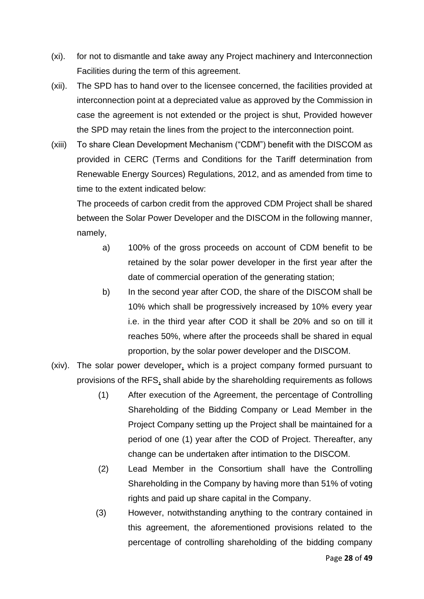- (xi). for not to dismantle and take away any Project machinery and Interconnection Facilities during the term of this agreement.
- (xii). The SPD has to hand over to the licensee concerned, the facilities provided at interconnection point at a depreciated value as approved by the Commission in case the agreement is not extended or the project is shut, Provided however the SPD may retain the lines from the project to the interconnection point.
- (xiii) To share Clean Development Mechanism ("CDM") benefit with the DISCOM as provided in CERC (Terms and Conditions for the Tariff determination from Renewable Energy Sources) Regulations, 2012, and as amended from time to time to the extent indicated below:

The proceeds of carbon credit from the approved CDM Project shall be shared between the Solar Power Developer and the DISCOM in the following manner, namely,

- a) 100% of the gross proceeds on account of CDM benefit to be retained by the solar power developer in the first year after the date of commercial operation of the generating station;
- b) In the second year after COD, the share of the DISCOM shall be 10% which shall be progressively increased by 10% every year i.e. in the third year after COD it shall be 20% and so on till it reaches 50%, where after the proceeds shall be shared in equal proportion, by the solar power developer and the DISCOM.
- (xiv). The solar power developer, which is a project company formed pursuant to provisions of the RFS, shall abide by the shareholding requirements as follows
	- (1) After execution of the Agreement, the percentage of Controlling Shareholding of the Bidding Company or Lead Member in the Project Company setting up the Project shall be maintained for a period of one (1) year after the COD of Project. Thereafter, any change can be undertaken after intimation to the DISCOM.
	- (2) Lead Member in the Consortium shall have the Controlling Shareholding in the Company by having more than 51% of voting rights and paid up share capital in the Company.
	- (3) However, notwithstanding anything to the contrary contained in this agreement, the aforementioned provisions related to the percentage of controlling shareholding of the bidding company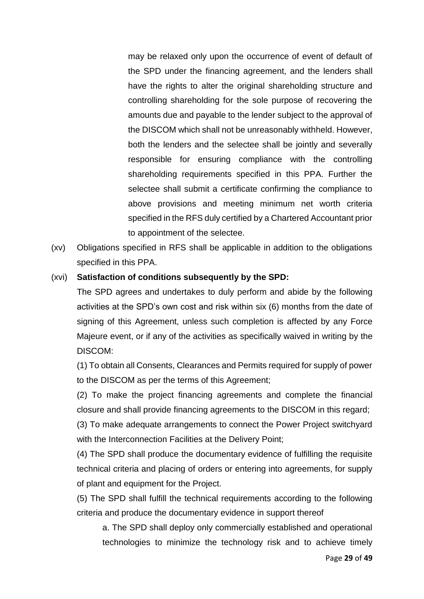may be relaxed only upon the occurrence of event of default of the SPD under the financing agreement, and the lenders shall have the rights to alter the original shareholding structure and controlling shareholding for the sole purpose of recovering the amounts due and payable to the lender subject to the approval of the DISCOM which shall not be unreasonably withheld. However, both the lenders and the selectee shall be jointly and severally responsible for ensuring compliance with the controlling shareholding requirements specified in this PPA. Further the selectee shall submit a certificate confirming the compliance to above provisions and meeting minimum net worth criteria specified in the RFS duly certified by a Chartered Accountant prior to appointment of the selectee.

(xv) Obligations specified in RFS shall be applicable in addition to the obligations specified in this PPA.

#### (xvi) **Satisfaction of conditions subsequently by the SPD:**

The SPD agrees and undertakes to duly perform and abide by the following activities at the SPD's own cost and risk within six (6) months from the date of signing of this Agreement, unless such completion is affected by any Force Majeure event, or if any of the activities as specifically waived in writing by the DISCOM:

(1) To obtain all Consents, Clearances and Permits required for supply of power to the DISCOM as per the terms of this Agreement;

(2) To make the project financing agreements and complete the financial closure and shall provide financing agreements to the DISCOM in this regard;

(3) To make adequate arrangements to connect the Power Project switchyard with the Interconnection Facilities at the Delivery Point;

(4) The SPD shall produce the documentary evidence of fulfilling the requisite technical criteria and placing of orders or entering into agreements, for supply of plant and equipment for the Project.

(5) The SPD shall fulfill the technical requirements according to the following criteria and produce the documentary evidence in support thereof

a. The SPD shall deploy only commercially established and operational technologies to minimize the technology risk and to achieve timely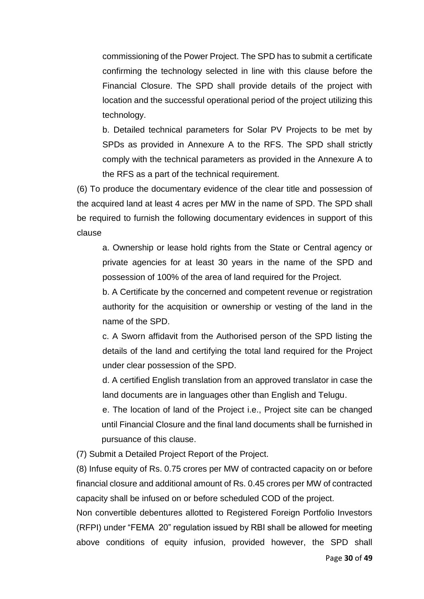commissioning of the Power Project. The SPD has to submit a certificate confirming the technology selected in line with this clause before the Financial Closure. The SPD shall provide details of the project with location and the successful operational period of the project utilizing this technology.

b. Detailed technical parameters for Solar PV Projects to be met by SPDs as provided in Annexure A to the RFS. The SPD shall strictly comply with the technical parameters as provided in the Annexure A to the RFS as a part of the technical requirement.

(6) To produce the documentary evidence of the clear title and possession of the acquired land at least 4 acres per MW in the name of SPD. The SPD shall be required to furnish the following documentary evidences in support of this clause

a. Ownership or lease hold rights from the State or Central agency or private agencies for at least 30 years in the name of the SPD and possession of 100% of the area of land required for the Project.

b. A Certificate by the concerned and competent revenue or registration authority for the acquisition or ownership or vesting of the land in the name of the SPD.

c. A Sworn affidavit from the Authorised person of the SPD listing the details of the land and certifying the total land required for the Project under clear possession of the SPD.

d. A certified English translation from an approved translator in case the land documents are in languages other than English and Telugu.

e. The location of land of the Project i.e., Project site can be changed until Financial Closure and the final land documents shall be furnished in pursuance of this clause.

(7) Submit a Detailed Project Report of the Project.

(8) Infuse equity of Rs. 0.75 crores per MW of contracted capacity on or before financial closure and additional amount of Rs. 0.45 crores per MW of contracted capacity shall be infused on or before scheduled COD of the project.

Non convertible debentures allotted to Registered Foreign Portfolio Investors (RFPI) under "FEMA 20" regulation issued by RBI shall be allowed for meeting above conditions of equity infusion, provided however, the SPD shall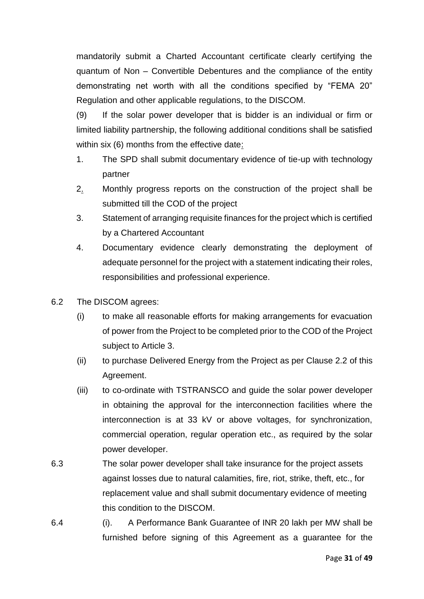mandatorily submit a Charted Accountant certificate clearly certifying the quantum of Non – Convertible Debentures and the compliance of the entity demonstrating net worth with all the conditions specified by "FEMA 20" Regulation and other applicable regulations, to the DISCOM.

(9) If the solar power developer that is bidder is an individual or firm or limited liability partnership, the following additional conditions shall be satisfied within six (6) months from the effective date:

- 1. The SPD shall submit documentary evidence of tie-up with technology partner
- 2. Monthly progress reports on the construction of the project shall be submitted till the COD of the project
- 3. Statement of arranging requisite finances for the project which is certified by a Chartered Accountant
- 4. Documentary evidence clearly demonstrating the deployment of adequate personnel for the project with a statement indicating their roles, responsibilities and professional experience.
- 6.2 The DISCOM agrees:
	- (i) to make all reasonable efforts for making arrangements for evacuation of power from the Project to be completed prior to the COD of the Project subject to Article 3.
	- (ii) to purchase Delivered Energy from the Project as per Clause 2.2 of this Agreement.
	- (iii) to co-ordinate with TSTRANSCO and guide the solar power developer in obtaining the approval for the interconnection facilities where the interconnection is at 33 kV or above voltages, for synchronization, commercial operation, regular operation etc., as required by the solar power developer.
- 6.3 The solar power developer shall take insurance for the project assets against losses due to natural calamities, fire, riot, strike, theft, etc., for replacement value and shall submit documentary evidence of meeting this condition to the DISCOM.
- 6.4 (i). A Performance Bank Guarantee of INR 20 lakh per MW shall be furnished before signing of this Agreement as a guarantee for the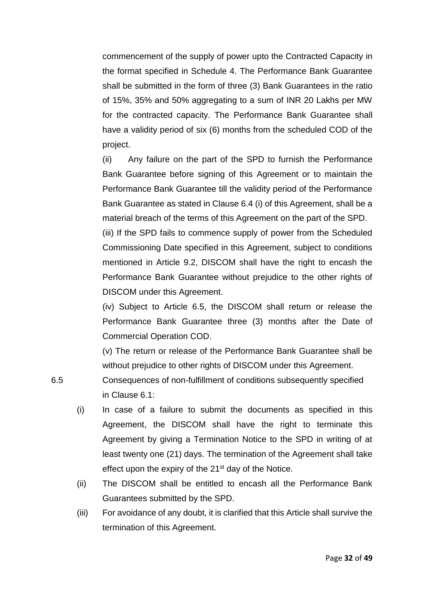commencement of the supply of power upto the Contracted Capacity in the format specified in Schedule 4. The Performance Bank Guarantee shall be submitted in the form of three (3) Bank Guarantees in the ratio of 15%, 35% and 50% aggregating to a sum of INR 20 Lakhs per MW for the contracted capacity. The Performance Bank Guarantee shall have a validity period of six (6) months from the scheduled COD of the project.

(ii) Any failure on the part of the SPD to furnish the Performance Bank Guarantee before signing of this Agreement or to maintain the Performance Bank Guarantee till the validity period of the Performance Bank Guarantee as stated in Clause 6.4 (i) of this Agreement, shall be a material breach of the terms of this Agreement on the part of the SPD.

(iii) If the SPD fails to commence supply of power from the Scheduled Commissioning Date specified in this Agreement, subject to conditions mentioned in Article 9.2, DISCOM shall have the right to encash the Performance Bank Guarantee without prejudice to the other rights of DISCOM under this Agreement.

(iv) Subject to Article 6.5, the DISCOM shall return or release the Performance Bank Guarantee three (3) months after the Date of Commercial Operation COD.

(v) The return or release of the Performance Bank Guarantee shall be without prejudice to other rights of DISCOM under this Agreement.

- 6.5 Consequences of non-fulfillment of conditions subsequently specified in Clause 6.1:
	- (i) In case of a failure to submit the documents as specified in this Agreement, the DISCOM shall have the right to terminate this Agreement by giving a Termination Notice to the SPD in writing of at least twenty one (21) days. The termination of the Agreement shall take effect upon the expiry of the  $21<sup>st</sup>$  day of the Notice.
	- (ii) The DISCOM shall be entitled to encash all the Performance Bank Guarantees submitted by the SPD.
	- (iii) For avoidance of any doubt, it is clarified that this Article shall survive the termination of this Agreement.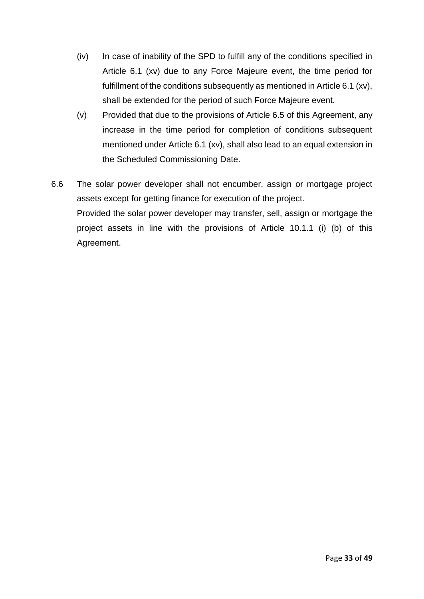- (iv) In case of inability of the SPD to fulfill any of the conditions specified in Article 6.1 (xv) due to any Force Majeure event, the time period for fulfillment of the conditions subsequently as mentioned in Article 6.1 (xv), shall be extended for the period of such Force Majeure event.
- (v) Provided that due to the provisions of Article 6.5 of this Agreement, any increase in the time period for completion of conditions subsequent mentioned under Article 6.1 (xv), shall also lead to an equal extension in the Scheduled Commissioning Date.
- 6.6 The solar power developer shall not encumber, assign or mortgage project assets except for getting finance for execution of the project. Provided the solar power developer may transfer, sell, assign or mortgage the project assets in line with the provisions of Article 10.1.1 (i) (b) of this Agreement.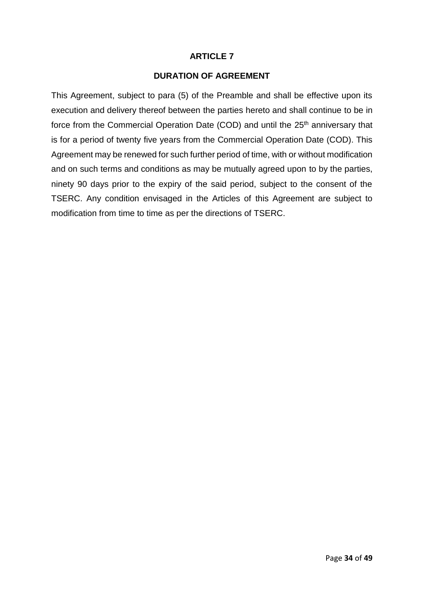# **DURATION OF AGREEMENT**

This Agreement, subject to para (5) of the Preamble and shall be effective upon its execution and delivery thereof between the parties hereto and shall continue to be in force from the Commercial Operation Date (COD) and until the 25<sup>th</sup> anniversary that is for a period of twenty five years from the Commercial Operation Date (COD). This Agreement may be renewed for such further period of time, with or without modification and on such terms and conditions as may be mutually agreed upon to by the parties, ninety 90 days prior to the expiry of the said period, subject to the consent of the TSERC. Any condition envisaged in the Articles of this Agreement are subject to modification from time to time as per the directions of TSERC.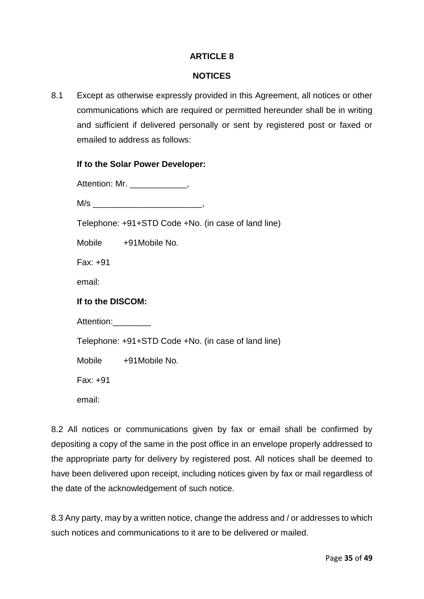### **NOTICES**

8.1 Except as otherwise expressly provided in this Agreement, all notices or other communications which are required or permitted hereunder shall be in writing and sufficient if delivered personally or sent by registered post or faxed or emailed to address as follows:

#### **If to the Solar Power Developer:**

| Attention: Mr. |  |
|----------------|--|
|----------------|--|

 $M/s$ 

Telephone: +91+STD Code +No. (in case of land line)

Mobile +91Mobile No*.*

Fax: +91

email:

#### **If to the DISCOM:**

Attention:

Telephone: +91+STD Code +No. (in case of land line)

Mobile +91Mobile No*.*

Fax: +91

email:

8.2 All notices or communications given by fax or email shall be confirmed by depositing a copy of the same in the post office in an envelope properly addressed to the appropriate party for delivery by registered post. All notices shall be deemed to have been delivered upon receipt, including notices given by fax or mail regardless of the date of the acknowledgement of such notice.

8.3 Any party, may by a written notice, change the address and / or addresses to which such notices and communications to it are to be delivered or mailed.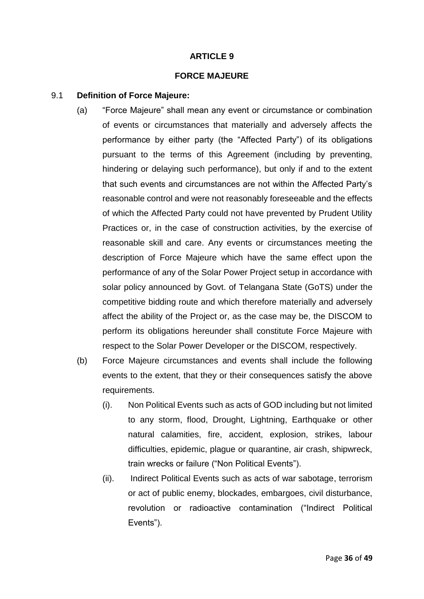#### **FORCE MAJEURE**

#### 9.1 **Definition of Force Majeure:**

- (a) "Force Majeure" shall mean any event or circumstance or combination of events or circumstances that materially and adversely affects the performance by either party (the "Affected Party") of its obligations pursuant to the terms of this Agreement (including by preventing, hindering or delaying such performance), but only if and to the extent that such events and circumstances are not within the Affected Party's reasonable control and were not reasonably foreseeable and the effects of which the Affected Party could not have prevented by Prudent Utility Practices or, in the case of construction activities, by the exercise of reasonable skill and care. Any events or circumstances meeting the description of Force Majeure which have the same effect upon the performance of any of the Solar Power Project setup in accordance with solar policy announced by Govt. of Telangana State (GoTS) under the competitive bidding route and which therefore materially and adversely affect the ability of the Project or, as the case may be, the DISCOM to perform its obligations hereunder shall constitute Force Majeure with respect to the Solar Power Developer or the DISCOM, respectively.
- (b) Force Majeure circumstances and events shall include the following events to the extent, that they or their consequences satisfy the above requirements.
	- (i). Non Political Events such as acts of GOD including but not limited to any storm, flood, Drought, Lightning, Earthquake or other natural calamities, fire, accident, explosion, strikes, labour difficulties, epidemic, plague or quarantine, air crash, shipwreck, train wrecks or failure ("Non Political Events").
	- (ii). Indirect Political Events such as acts of war sabotage, terrorism or act of public enemy, blockades, embargoes, civil disturbance, revolution or radioactive contamination ("Indirect Political Events").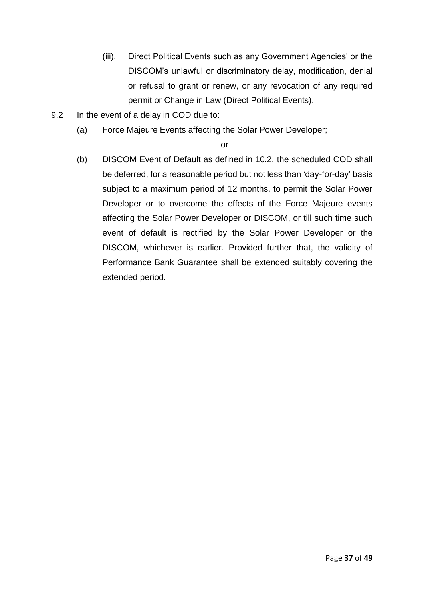- (iii). Direct Political Events such as any Government Agencies' or the DISCOM's unlawful or discriminatory delay, modification, denial or refusal to grant or renew, or any revocation of any required permit or Change in Law (Direct Political Events).
- 9.2 In the event of a delay in COD due to:
	- (a) Force Majeure Events affecting the Solar Power Developer;

or

(b) DISCOM Event of Default as defined in 10.2, the scheduled COD shall be deferred, for a reasonable period but not less than 'day-for-day' basis subject to a maximum period of 12 months, to permit the Solar Power Developer or to overcome the effects of the Force Majeure events affecting the Solar Power Developer or DISCOM, or till such time such event of default is rectified by the Solar Power Developer or the DISCOM, whichever is earlier. Provided further that, the validity of Performance Bank Guarantee shall be extended suitably covering the extended period.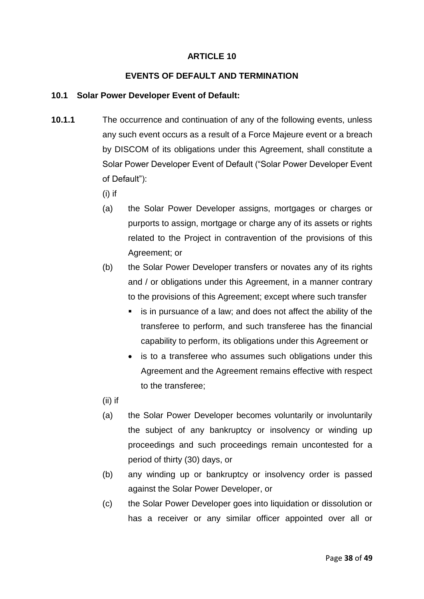### **EVENTS OF DEFAULT AND TERMINATION**

### **10.1 Solar Power Developer Event of Default:**

- **10.1.1** The occurrence and continuation of any of the following events, unless any such event occurs as a result of a Force Majeure event or a breach by DISCOM of its obligations under this Agreement, shall constitute a Solar Power Developer Event of Default ("Solar Power Developer Event of Default"):
	- (i) if
	- (a) the Solar Power Developer assigns, mortgages or charges or purports to assign, mortgage or charge any of its assets or rights related to the Project in contravention of the provisions of this Agreement; or
	- (b) the Solar Power Developer transfers or novates any of its rights and / or obligations under this Agreement, in a manner contrary to the provisions of this Agreement; except where such transfer
		- is in pursuance of a law; and does not affect the ability of the transferee to perform, and such transferee has the financial capability to perform, its obligations under this Agreement or
		- is to a transferee who assumes such obligations under this Agreement and the Agreement remains effective with respect to the transferee;
	- (ii) if
	- (a) the Solar Power Developer becomes voluntarily or involuntarily the subject of any bankruptcy or insolvency or winding up proceedings and such proceedings remain uncontested for a period of thirty (30) days, or
	- (b) any winding up or bankruptcy or insolvency order is passed against the Solar Power Developer, or
	- (c) the Solar Power Developer goes into liquidation or dissolution or has a receiver or any similar officer appointed over all or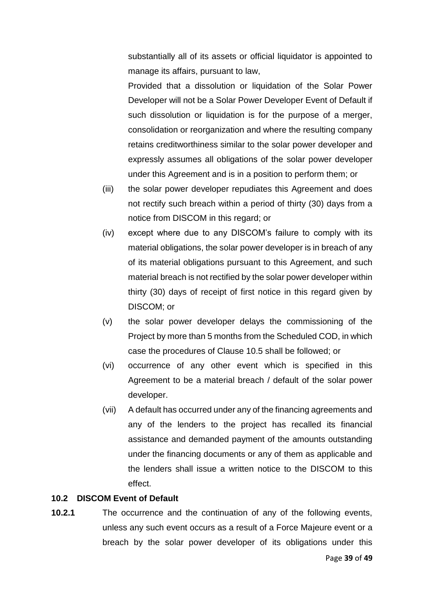substantially all of its assets or official liquidator is appointed to manage its affairs, pursuant to law,

Provided that a dissolution or liquidation of the Solar Power Developer will not be a Solar Power Developer Event of Default if such dissolution or liquidation is for the purpose of a merger, consolidation or reorganization and where the resulting company retains creditworthiness similar to the solar power developer and expressly assumes all obligations of the solar power developer under this Agreement and is in a position to perform them; or

- (iii) the solar power developer repudiates this Agreement and does not rectify such breach within a period of thirty (30) days from a notice from DISCOM in this regard; or
- (iv) except where due to any DISCOM's failure to comply with its material obligations, the solar power developer is in breach of any of its material obligations pursuant to this Agreement, and such material breach is not rectified by the solar power developer within thirty (30) days of receipt of first notice in this regard given by DISCOM; or
- (v) the solar power developer delays the commissioning of the Project by more than 5 months from the Scheduled COD, in which case the procedures of Clause 10.5 shall be followed; or
- (vi) occurrence of any other event which is specified in this Agreement to be a material breach / default of the solar power developer.
- (vii) A default has occurred under any of the financing agreements and any of the lenders to the project has recalled its financial assistance and demanded payment of the amounts outstanding under the financing documents or any of them as applicable and the lenders shall issue a written notice to the DISCOM to this effect.

#### **10.2 DISCOM Event of Default**

**10.2.1** The occurrence and the continuation of any of the following events, unless any such event occurs as a result of a Force Majeure event or a breach by the solar power developer of its obligations under this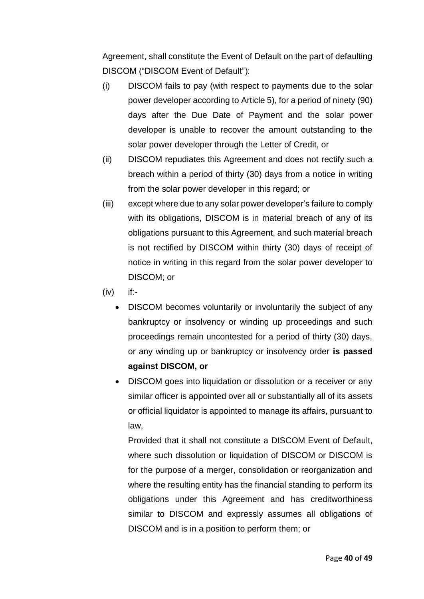Agreement, shall constitute the Event of Default on the part of defaulting DISCOM ("DISCOM Event of Default"):

- (i) DISCOM fails to pay (with respect to payments due to the solar power developer according to Article 5), for a period of ninety (90) days after the Due Date of Payment and the solar power developer is unable to recover the amount outstanding to the solar power developer through the Letter of Credit, or
- (ii) DISCOM repudiates this Agreement and does not rectify such a breach within a period of thirty (30) days from a notice in writing from the solar power developer in this regard; or
- (iii) except where due to any solar power developer's failure to comply with its obligations, DISCOM is in material breach of any of its obligations pursuant to this Agreement, and such material breach is not rectified by DISCOM within thirty (30) days of receipt of notice in writing in this regard from the solar power developer to DISCOM; or
- (iv) if:-
	- DISCOM becomes voluntarily or involuntarily the subject of any bankruptcy or insolvency or winding up proceedings and such proceedings remain uncontested for a period of thirty (30) days, or any winding up or bankruptcy or insolvency order **is passed against DISCOM, or**
	- DISCOM goes into liquidation or dissolution or a receiver or any similar officer is appointed over all or substantially all of its assets or official liquidator is appointed to manage its affairs, pursuant to law,

Provided that it shall not constitute a DISCOM Event of Default, where such dissolution or liquidation of DISCOM or DISCOM is for the purpose of a merger, consolidation or reorganization and where the resulting entity has the financial standing to perform its obligations under this Agreement and has creditworthiness similar to DISCOM and expressly assumes all obligations of DISCOM and is in a position to perform them; or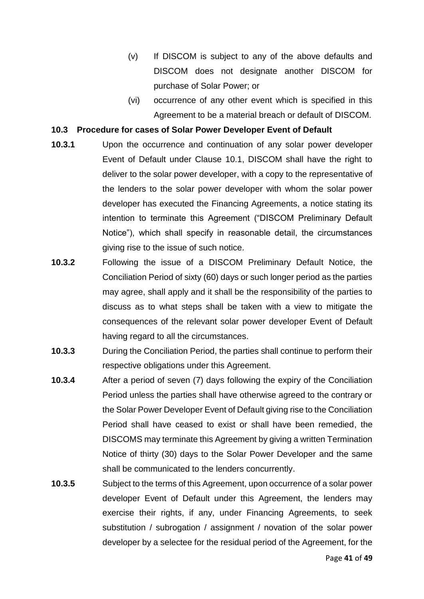- (v) If DISCOM is subject to any of the above defaults and DISCOM does not designate another DISCOM for purchase of Solar Power; or
- (vi) occurrence of any other event which is specified in this Agreement to be a material breach or default of DISCOM.

#### **10.3 Procedure for cases of Solar Power Developer Event of Default**

- **10.3.1** Upon the occurrence and continuation of any solar power developer Event of Default under Clause 10.1, DISCOM shall have the right to deliver to the solar power developer, with a copy to the representative of the lenders to the solar power developer with whom the solar power developer has executed the Financing Agreements, a notice stating its intention to terminate this Agreement ("DISCOM Preliminary Default Notice"), which shall specify in reasonable detail, the circumstances giving rise to the issue of such notice.
- **10.3.2** Following the issue of a DISCOM Preliminary Default Notice, the Conciliation Period of sixty (60) days or such longer period as the parties may agree, shall apply and it shall be the responsibility of the parties to discuss as to what steps shall be taken with a view to mitigate the consequences of the relevant solar power developer Event of Default having regard to all the circumstances.
- **10.3.3** During the Conciliation Period, the parties shall continue to perform their respective obligations under this Agreement.
- **10.3.4** After a period of seven (7) days following the expiry of the Conciliation Period unless the parties shall have otherwise agreed to the contrary or the Solar Power Developer Event of Default giving rise to the Conciliation Period shall have ceased to exist or shall have been remedied, the DISCOMS may terminate this Agreement by giving a written Termination Notice of thirty (30) days to the Solar Power Developer and the same shall be communicated to the lenders concurrently.
- **10.3.5** Subject to the terms of this Agreement, upon occurrence of a solar power developer Event of Default under this Agreement, the lenders may exercise their rights, if any, under Financing Agreements, to seek substitution / subrogation / assignment / novation of the solar power developer by a selectee for the residual period of the Agreement, for the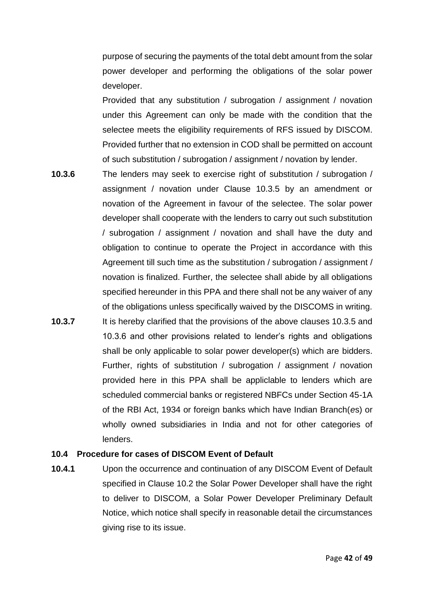purpose of securing the payments of the total debt amount from the solar power developer and performing the obligations of the solar power developer.

Provided that any substitution / subrogation / assignment / novation under this Agreement can only be made with the condition that the selectee meets the eligibility requirements of RFS issued by DISCOM. Provided further that no extension in COD shall be permitted on account of such substitution / subrogation / assignment / novation by lender.

- **10.3.6** The lenders may seek to exercise right of substitution / subrogation / assignment / novation under Clause 10.3.5 by an amendment or novation of the Agreement in favour of the selectee. The solar power developer shall cooperate with the lenders to carry out such substitution / subrogation / assignment / novation and shall have the duty and obligation to continue to operate the Project in accordance with this Agreement till such time as the substitution / subrogation / assignment / novation is finalized. Further, the selectee shall abide by all obligations specified hereunder in this PPA and there shall not be any waiver of any of the obligations unless specifically waived by the DISCOMS in writing. **10.3.7** It is hereby clarified that the provisions of the above clauses 10.3.5 and
- 10.3.6 and other provisions related to lender's rights and obligations shall be only applicable to solar power developer(s) which are bidders. Further, rights of substitution / subrogation / assignment / novation provided here in this PPA shall be appliclable to lenders which are scheduled commercial banks or registered NBFCs under Section 45-1A of the RBI Act, 1934 or foreign banks which have Indian Branch(*e*s) or wholly owned subsidiaries in India and not for other categories of lenders.

#### **10.4 Procedure for cases of DISCOM Event of Default**

**10.4.1** Upon the occurrence and continuation of any DISCOM Event of Default specified in Clause 10.2 the Solar Power Developer shall have the right to deliver to DISCOM, a Solar Power Developer Preliminary Default Notice, which notice shall specify in reasonable detail the circumstances giving rise to its issue.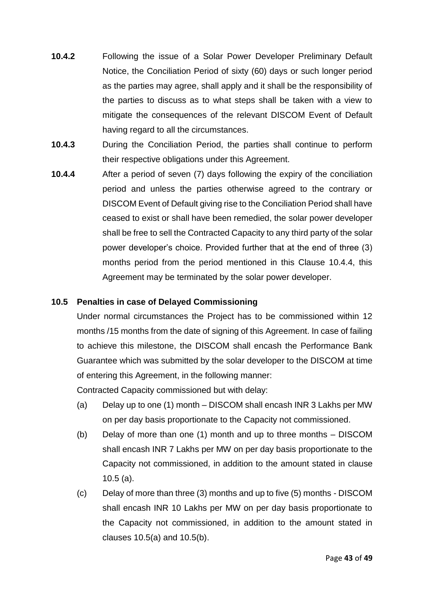- **10.4.2** Following the issue of a Solar Power Developer Preliminary Default Notice, the Conciliation Period of sixty (60) days or such longer period as the parties may agree, shall apply and it shall be the responsibility of the parties to discuss as to what steps shall be taken with a view to mitigate the consequences of the relevant DISCOM Event of Default having regard to all the circumstances.
- **10.4.3** During the Conciliation Period, the parties shall continue to perform their respective obligations under this Agreement.
- **10.4.4** After a period of seven (7) days following the expiry of the conciliation period and unless the parties otherwise agreed to the contrary or DISCOM Event of Default giving rise to the Conciliation Period shall have ceased to exist or shall have been remedied, the solar power developer shall be free to sell the Contracted Capacity to any third party of the solar power developer's choice. Provided further that at the end of three (3) months period from the period mentioned in this Clause 10.4.4, this Agreement may be terminated by the solar power developer.

# **10.5 Penalties in case of Delayed Commissioning**

Under normal circumstances the Project has to be commissioned within 12 months /15 months from the date of signing of this Agreement. In case of failing to achieve this milestone, the DISCOM shall encash the Performance Bank Guarantee which was submitted by the solar developer to the DISCOM at time of entering this Agreement, in the following manner:

Contracted Capacity commissioned but with delay:

- (a) Delay up to one (1) month DISCOM shall encash INR 3 Lakhs per MW on per day basis proportionate to the Capacity not commissioned.
- (b) Delay of more than one (1) month and up to three months DISCOM shall encash INR 7 Lakhs per MW on per day basis proportionate to the Capacity not commissioned, in addition to the amount stated in clause 10.5 (a).
- (c) Delay of more than three (3) months and up to five (5) months DISCOM shall encash INR 10 Lakhs per MW on per day basis proportionate to the Capacity not commissioned, in addition to the amount stated in clauses 10.5(a) and 10.5(b).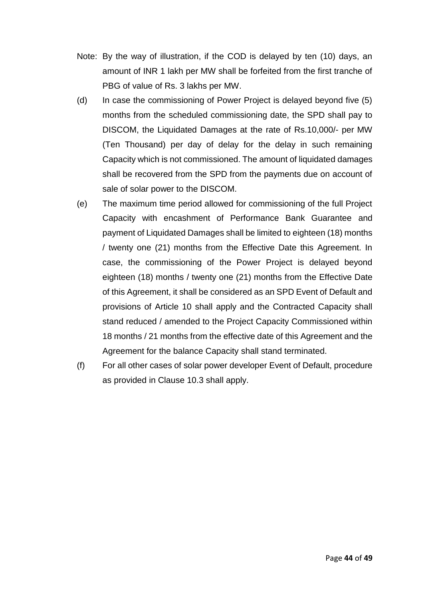- Note: By the way of illustration, if the COD is delayed by ten (10) days, an amount of INR 1 lakh per MW shall be forfeited from the first tranche of PBG of value of Rs. 3 lakhs per MW.
- (d) In case the commissioning of Power Project is delayed beyond five (5) months from the scheduled commissioning date, the SPD shall pay to DISCOM, the Liquidated Damages at the rate of Rs.10,000/- per MW (Ten Thousand) per day of delay for the delay in such remaining Capacity which is not commissioned. The amount of liquidated damages shall be recovered from the SPD from the payments due on account of sale of solar power to the DISCOM.
- (e) The maximum time period allowed for commissioning of the full Project Capacity with encashment of Performance Bank Guarantee and payment of Liquidated Damages shall be limited to eighteen (18) months / twenty one (21) months from the Effective Date this Agreement. In case, the commissioning of the Power Project is delayed beyond eighteen (18) months / twenty one (21) months from the Effective Date of this Agreement, it shall be considered as an SPD Event of Default and provisions of Article 10 shall apply and the Contracted Capacity shall stand reduced / amended to the Project Capacity Commissioned within 18 months / 21 months from the effective date of this Agreement and the Agreement for the balance Capacity shall stand terminated.
- (f) For all other cases of solar power developer Event of Default, procedure as provided in Clause 10.3 shall apply.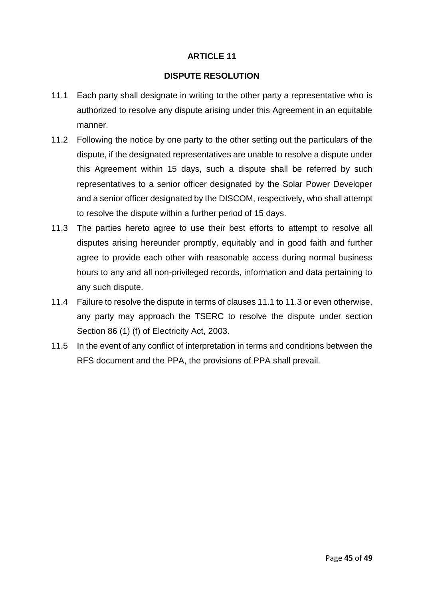### **DISPUTE RESOLUTION**

- 11.1 Each party shall designate in writing to the other party a representative who is authorized to resolve any dispute arising under this Agreement in an equitable manner.
- 11.2 Following the notice by one party to the other setting out the particulars of the dispute, if the designated representatives are unable to resolve a dispute under this Agreement within 15 days, such a dispute shall be referred by such representatives to a senior officer designated by the Solar Power Developer and a senior officer designated by the DISCOM, respectively, who shall attempt to resolve the dispute within a further period of 15 days.
- 11.3 The parties hereto agree to use their best efforts to attempt to resolve all disputes arising hereunder promptly, equitably and in good faith and further agree to provide each other with reasonable access during normal business hours to any and all non-privileged records, information and data pertaining to any such dispute.
- 11.4 Failure to resolve the dispute in terms of clauses 11.1 to 11.3 or even otherwise, any party may approach the TSERC to resolve the dispute under section Section 86 (1) (f) of Electricity Act, 2003.
- 11.5 In the event of any conflict of interpretation in terms and conditions between the RFS document and the PPA, the provisions of PPA shall prevail.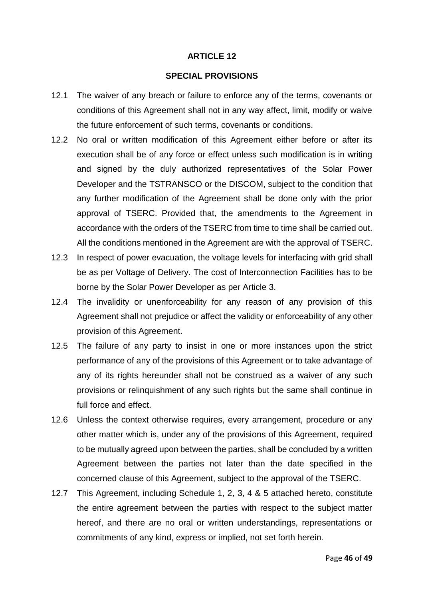#### **SPECIAL PROVISIONS**

- 12.1 The waiver of any breach or failure to enforce any of the terms, covenants or conditions of this Agreement shall not in any way affect, limit, modify or waive the future enforcement of such terms, covenants or conditions.
- 12.2 No oral or written modification of this Agreement either before or after its execution shall be of any force or effect unless such modification is in writing and signed by the duly authorized representatives of the Solar Power Developer and the TSTRANSCO or the DISCOM, subject to the condition that any further modification of the Agreement shall be done only with the prior approval of TSERC. Provided that, the amendments to the Agreement in accordance with the orders of the TSERC from time to time shall be carried out. All the conditions mentioned in the Agreement are with the approval of TSERC.
- 12.3 In respect of power evacuation, the voltage levels for interfacing with grid shall be as per Voltage of Delivery. The cost of Interconnection Facilities has to be borne by the Solar Power Developer as per Article 3.
- 12.4 The invalidity or unenforceability for any reason of any provision of this Agreement shall not prejudice or affect the validity or enforceability of any other provision of this Agreement.
- 12.5 The failure of any party to insist in one or more instances upon the strict performance of any of the provisions of this Agreement or to take advantage of any of its rights hereunder shall not be construed as a waiver of any such provisions or relinquishment of any such rights but the same shall continue in full force and effect.
- 12.6 Unless the context otherwise requires, every arrangement, procedure or any other matter which is, under any of the provisions of this Agreement, required to be mutually agreed upon between the parties, shall be concluded by a written Agreement between the parties not later than the date specified in the concerned clause of this Agreement, subject to the approval of the TSERC.
- 12.7 This Agreement, including Schedule 1, 2, 3, 4 & 5 attached hereto, constitute the entire agreement between the parties with respect to the subject matter hereof, and there are no oral or written understandings, representations or commitments of any kind, express or implied, not set forth herein.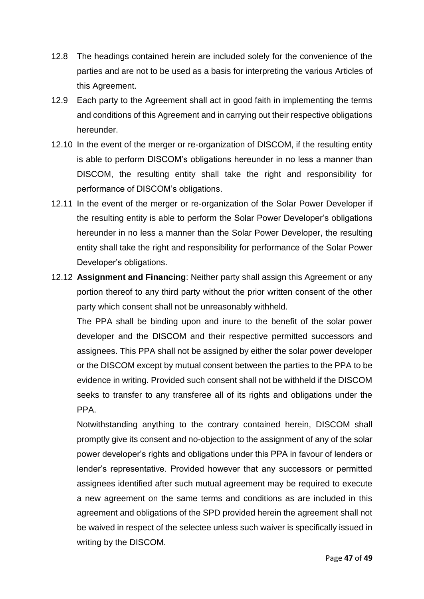- 12.8 The headings contained herein are included solely for the convenience of the parties and are not to be used as a basis for interpreting the various Articles of this Agreement.
- 12.9 Each party to the Agreement shall act in good faith in implementing the terms and conditions of this Agreement and in carrying out their respective obligations hereunder.
- 12.10 In the event of the merger or re-organization of DISCOM, if the resulting entity is able to perform DISCOM's obligations hereunder in no less a manner than DISCOM, the resulting entity shall take the right and responsibility for performance of DISCOM's obligations.
- 12.11 In the event of the merger or re-organization of the Solar Power Developer if the resulting entity is able to perform the Solar Power Developer's obligations hereunder in no less a manner than the Solar Power Developer, the resulting entity shall take the right and responsibility for performance of the Solar Power Developer's obligations.
- 12.12 **Assignment and Financing**: Neither party shall assign this Agreement or any portion thereof to any third party without the prior written consent of the other party which consent shall not be unreasonably withheld.

The PPA shall be binding upon and inure to the benefit of the solar power developer and the DISCOM and their respective permitted successors and assignees. This PPA shall not be assigned by either the solar power developer or the DISCOM except by mutual consent between the parties to the PPA to be evidence in writing. Provided such consent shall not be withheld if the DISCOM seeks to transfer to any transferee all of its rights and obligations under the PPA.

Notwithstanding anything to the contrary contained herein, DISCOM shall promptly give its consent and no-objection to the assignment of any of the solar power developer's rights and obligations under this PPA in favour of lenders or lender's representative. Provided however that any successors or permitted assignees identified after such mutual agreement may be required to execute a new agreement on the same terms and conditions as are included in this agreement and obligations of the SPD provided herein the agreement shall not be waived in respect of the selectee unless such waiver is specifically issued in writing by the DISCOM.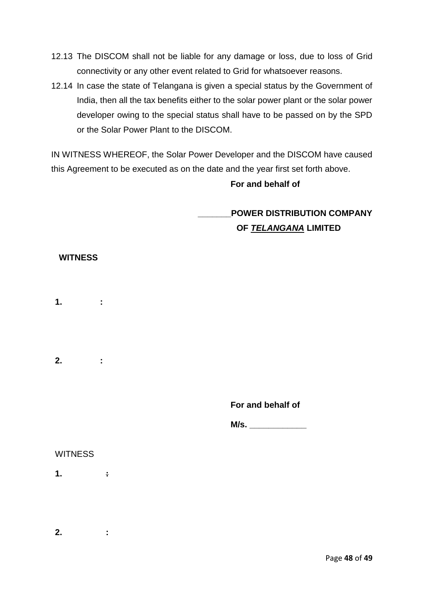- 12.13 The DISCOM shall not be liable for any damage or loss, due to loss of Grid connectivity or any other event related to Grid for whatsoever reasons.
- 12.14 In case the state of Telangana is given a special status by the Government of India, then all the tax benefits either to the solar power plant or the solar power developer owing to the special status shall have to be passed on by the SPD or the Solar Power Plant to the DISCOM.

IN WITNESS WHEREOF, the Solar Power Developer and the DISCOM have caused this Agreement to be executed as on the date and the year first set forth above.

### **For and behalf of**

**\_\_\_\_\_\_\_POWER DISTRIBUTION COMPANY OF** *TELANGANA* **LIMITED**

### **WITNESS**

- **1. :**
- **2. :**

**For and behalf of** 

**M/s.** 

#### **WITNESS**

**1. :** 

**2. :**